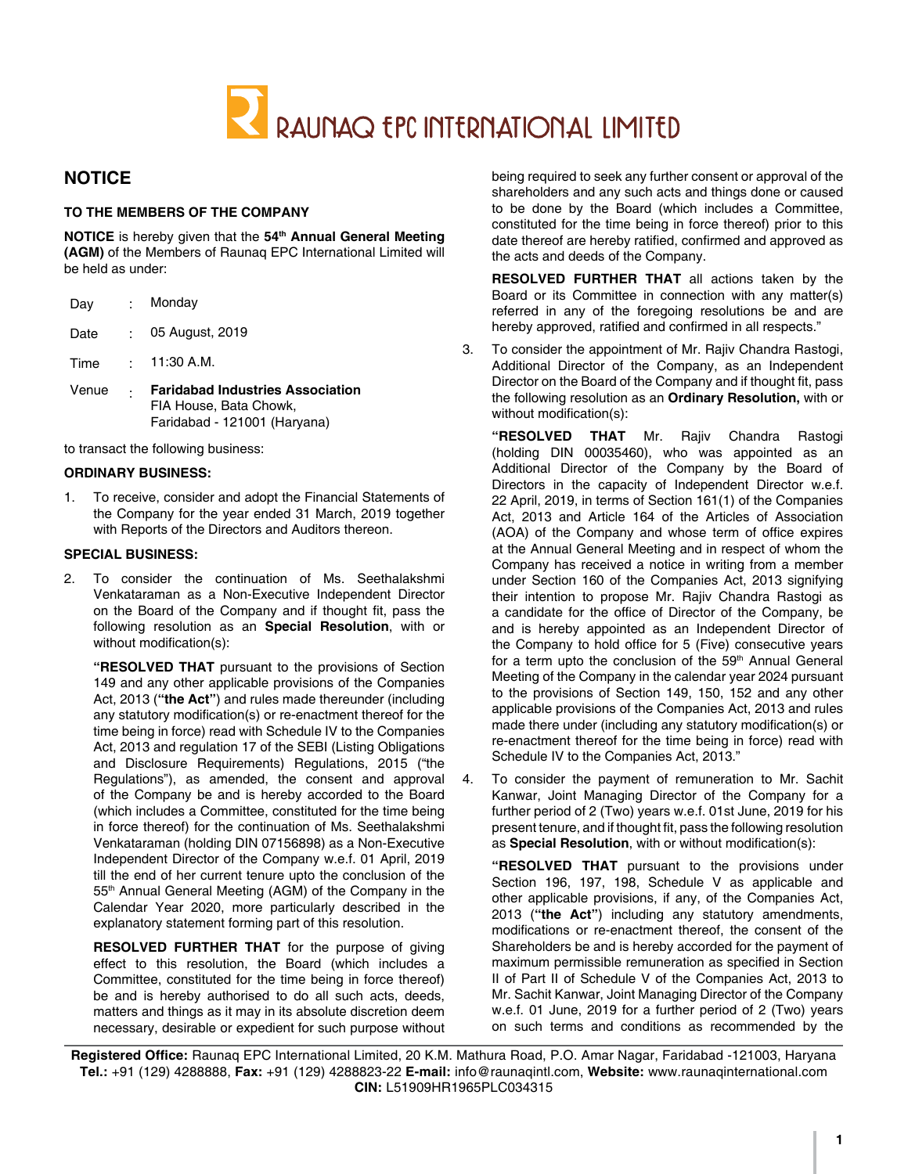

# **NOTICE**

#### **TO THE MEMBERS OF THE COMPANY**

**NOTICE** is hereby given that the **54th Annual General Meeting (AGM)** of the Members of Raunaq EPC International Limited will be held as under:

| Day   | t.          | Monday                                                                                            |
|-------|-------------|---------------------------------------------------------------------------------------------------|
| Date  | ۰.          | 05 August, 2019                                                                                   |
| Time  | <b>P.O.</b> | 11:30 A.M.                                                                                        |
| Venue | ٠           | <b>Faridabad Industries Association</b><br>FIA House, Bata Chowk,<br>Faridabad - 121001 (Haryana) |
|       |             | to transact the following business:                                                               |

#### **ORDINARY BUSINESS:**

1. To receive, consider and adopt the Financial Statements of the Company for the year ended 31 March, 2019 together with Reports of the Directors and Auditors thereon.

#### **SPECIAL BUSINESS:**

2. To consider the continuation of Ms. Seethalakshmi Venkataraman as a Non-Executive Independent Director on the Board of the Company and if thought fit, pass the following resolution as an **Special Resolution**, with or without modification(s):

**"RESOLVED THAT** pursuant to the provisions of Section 149 and any other applicable provisions of the Companies Act, 2013 (**"the Act"**) and rules made thereunder (including any statutory modification(s) or re-enactment thereof for the time being in force) read with Schedule IV to the Companies Act, 2013 and regulation 17 of the SEBI (Listing Obligations and Disclosure Requirements) Regulations, 2015 ("the Regulations"), as amended, the consent and approval of the Company be and is hereby accorded to the Board (which includes a Committee, constituted for the time being in force thereof) for the continuation of Ms. Seethalakshmi Venkataraman (holding DIN 07156898) as a Non-Executive Independent Director of the Company w.e.f. 01 April, 2019 till the end of her current tenure upto the conclusion of the 55<sup>th</sup> Annual General Meeting (AGM) of the Company in the Calendar Year 2020, more particularly described in the explanatory statement forming part of this resolution.

**RESOLVED FURTHER THAT** for the purpose of giving effect to this resolution, the Board (which includes a Committee, constituted for the time being in force thereof) be and is hereby authorised to do all such acts, deeds, matters and things as it may in its absolute discretion deem necessary, desirable or expedient for such purpose without

being required to seek any further consent or approval of the shareholders and any such acts and things done or caused to be done by the Board (which includes a Committee, constituted for the time being in force thereof) prior to this date thereof are hereby ratified, confirmed and approved as the acts and deeds of the Company.

**RESOLVED FURTHER THAT** all actions taken by the Board or its Committee in connection with any matter(s) referred in any of the foregoing resolutions be and are hereby approved, ratified and confirmed in all respects."

3. To consider the appointment of Mr. Rajiv Chandra Rastogi, Additional Director of the Company, as an Independent Director on the Board of the Company and if thought fit, pass the following resolution as an **Ordinary Resolution,** with or without modification(s):

**"RESOLVED THAT** Mr. Rajiv Chandra Rastogi (holding DIN 00035460), who was appointed as an Additional Director of the Company by the Board of Directors in the capacity of Independent Director w.e.f. 22 April, 2019, in terms of Section 161(1) of the Companies Act, 2013 and Article 164 of the Articles of Association (AOA) of the Company and whose term of office expires at the Annual General Meeting and in respect of whom the Company has received a notice in writing from a member under Section 160 of the Companies Act, 2013 signifying their intention to propose Mr. Rajiv Chandra Rastogi as a candidate for the office of Director of the Company, be and is hereby appointed as an Independent Director of the Company to hold office for 5 (Five) consecutive years for a term upto the conclusion of the 59<sup>th</sup> Annual General Meeting of the Company in the calendar year 2024 pursuant to the provisions of Section 149, 150, 152 and any other applicable provisions of the Companies Act, 2013 and rules made there under (including any statutory modification(s) or re-enactment thereof for the time being in force) read with Schedule IV to the Companies Act, 2013."

4. To consider the payment of remuneration to Mr. Sachit Kanwar, Joint Managing Director of the Company for a further period of 2 (Two) years w.e.f. 01st June, 2019 for his present tenure, and if thought fit, pass the following resolution as **Special Resolution**, with or without modification(s):

**"RESOLVED THAT** pursuant to the provisions under Section 196, 197, 198, Schedule V as applicable and other applicable provisions, if any, of the Companies Act, 2013 (**"the Act"**) including any statutory amendments, modifications or re-enactment thereof, the consent of the Shareholders be and is hereby accorded for the payment of maximum permissible remuneration as specified in Section II of Part II of Schedule V of the Companies Act, 2013 to Mr. Sachit Kanwar, Joint Managing Director of the Company w.e.f. 01 June, 2019 for a further period of 2 (Two) years on such terms and conditions as recommended by the

**Registered Office:** Raunaq EPC International Limited, 20 K.M. Mathura Road, P.O. Amar Nagar, Faridabad -121003, Haryana **Tel.:** +91 (129) 4288888, **Fax:** +91 (129) 4288823-22 **E-mail:** info@raunaqintl.com, **Website:** www.raunaqinternational.com **CIN:** L51909HR1965PLC034315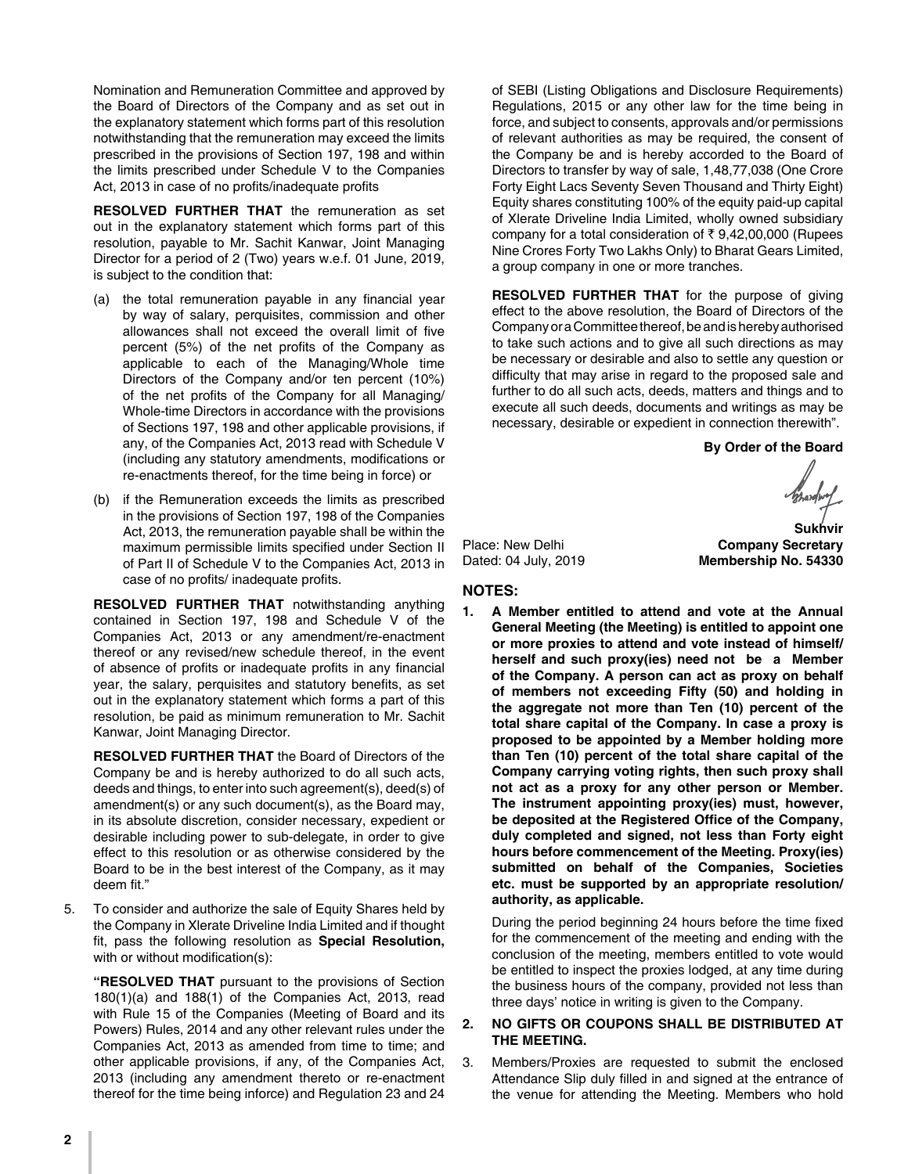Nomination and Remuneration Committee and approved by the Board of Directors of the Company and as set out in the explanatory statement which forms part of this resolution notwithstanding that the remuneration may exceed the limits prescribed in the provisions of Section 197, 198 and within the limits prescribed under Schedule V to the Companies Act, 2013 in case of no profits/inadequate profits

**RESOLVED FURTHER THAT** the remuneration as set out in the explanatory statement which forms part of this resolution, payable to Mr. Sachit Kanwar, Joint Managing Director for a period of 2 (Two) years w.e.f. 01 June, 2019, is subject to the condition that:

- (a) the total remuneration payable in any financial year by way of salary, perquisites, commission and other allowances shall not exceed the overall limit of five percent (5%) of the net profits of the Company as applicable to each of the Managing/Whole time Directors of the Company and/or ten percent (10%) of the net profits of the Company for all Managing/ Whole-time Directors in accordance with the provisions of Sections 197, 198 and other applicable provisions, if any, of the Companies Act, 2013 read with Schedule V (including any statutory amendments, modifications or re-enactments thereof, for the time being in force) or
- (b) if the Remuneration exceeds the limits as prescribed in the provisions of Section 197, 198 of the Companies Act, 2013, the remuneration payable shall be within the maximum permissible limits specified under Section II of Part II of Schedule V to the Companies Act, 2013 in case of no profits/ inadequate profits.

**RESOLVED FURTHER THAT** notwithstanding anything contained in Section 197, 198 and Schedule V of the Companies Act, 2013 or any amendment/re-enactment thereof or any revised/new schedule thereof, in the event of absence of profits or inadequate profits in any financial year, the salary, perquisites and statutory benefits, as set out in the explanatory statement which forms a part of this resolution, be paid as minimum remuneration to Mr. Sachit Kanwar, Joint Managing Director.

**RESOLVED FURTHER THAT** the Board of Directors of the Company be and is hereby authorized to do all such acts, deeds and things, to enter into such agreement(s), deed(s) of amendment(s) or any such document(s), as the Board may, in its absolute discretion, consider necessary, expedient or desirable including power to sub-delegate, in order to give effect to this resolution or as otherwise considered by the Board to be in the best interest of the Company, as it may deem fit."

5. To consider and authorize the sale of Equity Shares held by the Company in Xlerate Driveline India Limited and if thought fit, pass the following resolution as **Special Resolution,** with or without modification(s):

**"RESOLVED THAT** pursuant to the provisions of Section 180(1)(a) and 188(1) of the Companies Act, 2013, read with Rule 15 of the Companies (Meeting of Board and its Powers) Rules, 2014 and any other relevant rules under the Companies Act, 2013 as amended from time to time; and other applicable provisions, if any, of the Companies Act, 2013 (including any amendment thereto or re-enactment thereof for the time being inforce) and Regulation 23 and 24

of SEBI (Listing Obligations and Disclosure Requirements) Regulations, 2015 or any other law for the time being in force, and subject to consents, approvals and/or permissions of relevant authorities as may be required, the consent of the Company be and is hereby accorded to the Board of Directors to transfer by way of sale, 1,48,77,038 (One Crore Forty Eight Lacs Seventy Seven Thousand and Thirty Eight) Equity shares constituting 100% of the equity paid-up capital of Xlerate Driveline India Limited, wholly owned subsidiary company for a total consideration of  $\bar{\tau}$  9,42,00,000 (Rupees Nine Crores Forty Two Lakhs Only) to Bharat Gears Limited, a group company in one or more tranches.

**RESOLVED FURTHER THAT** for the purpose of giving effect to the above resolution, the Board of Directors of the Company or a Committee thereof, be and is hereby authorised to take such actions and to give all such directions as may be necessary or desirable and also to settle any question or difficulty that may arise in regard to the proposed sale and further to do all such acts, deeds, matters and things and to execute all such deeds, documents and writings as may be necessary, desirable or expedient in connection therewith".

**By Order of the Board**

**Membership No. 54330** 

 **Sukhvir**

Place: New Delhi **Company Secretary**<br>
Dated: 04 July, 2019 **Company Secretary**<br> **Company Secretary** 

#### **NOTES:**

**1. A Member entitled to attend and vote at the Annual General Meeting (the Meeting) is entitled to appoint one or more proxies to attend and vote instead of himself/ herself and such proxy(ies) need not be a Member of the Company. A person can act as proxy on behalf of members not exceeding Fifty (50) and holding in the aggregate not more than Ten (10) percent of the total share capital of the Company. In case a proxy is proposed to be appointed by a Member holding more than Ten (10) percent of the total share capital of the Company carrying voting rights, then such proxy shall not act as a proxy for any other person or Member. The instrument appointing proxy(ies) must, however, be deposited at the Registered Office of the Company, duly completed and signed, not less than Forty eight hours before commencement of the Meeting. Proxy(ies) submitted on behalf of the Companies, Societies etc. must be supported by an appropriate resolution/ authority, as applicable.**

During the period beginning 24 hours before the time fixed for the commencement of the meeting and ending with the conclusion of the meeting, members entitled to vote would be entitled to inspect the proxies lodged, at any time during the business hours of the company, provided not less than three days' notice in writing is given to the Company.

#### **2. NO GIFTS OR COUPONS SHALL BE DISTRIBUTED AT THE MEETING.**

3. Members/Proxies are requested to submit the enclosed Attendance Slip duly filled in and signed at the entrance of the venue for attending the Meeting. Members who hold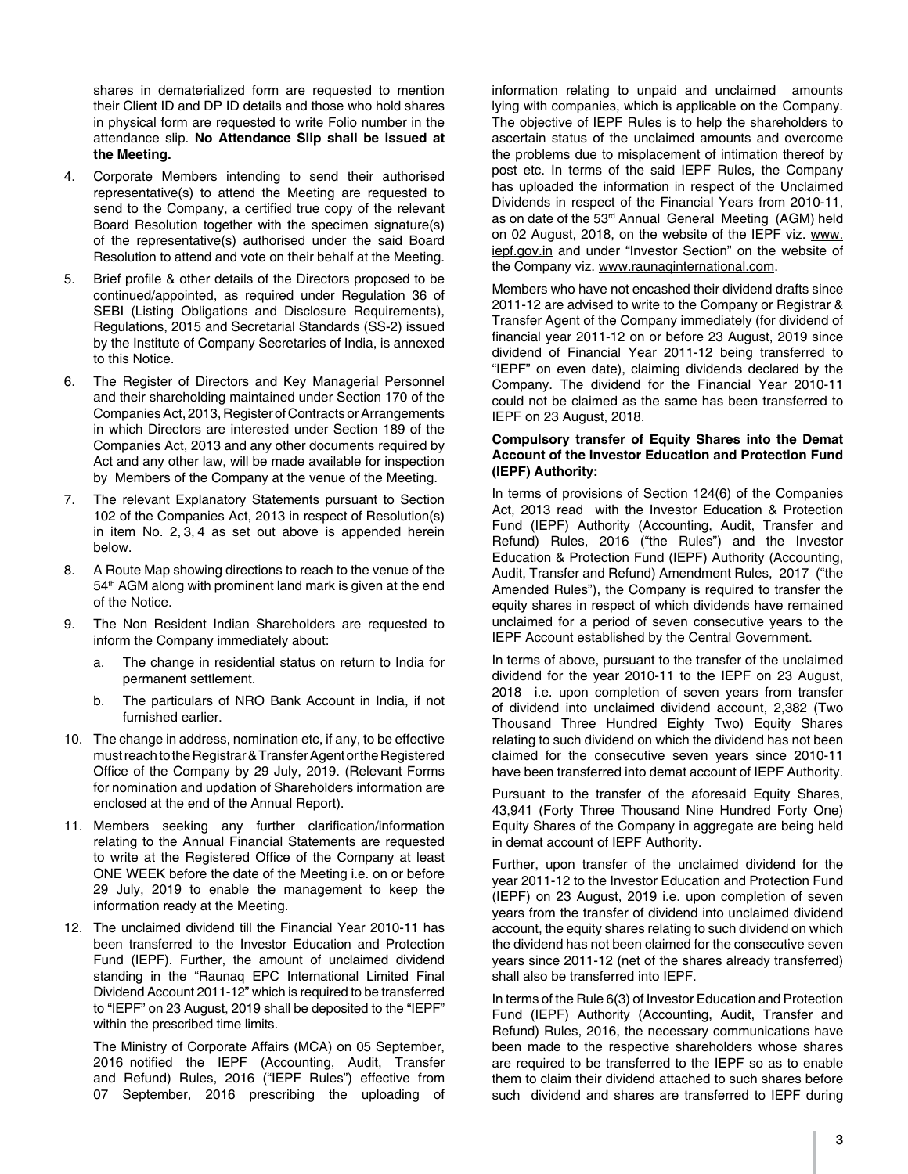shares in dematerialized form are requested to mention their Client ID and DP ID details and those who hold shares in physical form are requested to write Folio number in the attendance slip. **No Attendance Slip shall be issued at the Meeting.** 

- 4. Corporate Members intending to send their authorised representative(s) to attend the Meeting are requested to send to the Company, a certified true copy of the relevant Board Resolution together with the specimen signature(s) of the representative(s) authorised under the said Board Resolution to attend and vote on their behalf at the Meeting.
- 5. Brief profile & other details of the Directors proposed to be continued/appointed, as required under Regulation 36 of SEBI (Listing Obligations and Disclosure Requirements), Regulations, 2015 and Secretarial Standards (SS-2) issued by the Institute of Company Secretaries of India, is annexed to this Notice.
- 6. The Register of Directors and Key Managerial Personnel and their shareholding maintained under Section 170 of the Companies Act, 2013, Register of Contracts or Arrangements in which Directors are interested under Section 189 of the Companies Act, 2013 and any other documents required by Act and any other law, will be made available for inspection by Members of the Company at the venue of the Meeting.
- 7. The relevant Explanatory Statements pursuant to Section 102 of the Companies Act, 2013 in respect of Resolution(s) in item No. 2, 3, 4 as set out above is appended herein below.
- 8. A Route Map showing directions to reach to the venue of the 54<sup>th</sup> AGM along with prominent land mark is given at the end of the Notice.
- 9. The Non Resident Indian Shareholders are requested to inform the Company immediately about:
	- a. The change in residential status on return to India for permanent settlement.
	- b. The particulars of NRO Bank Account in India, if not furnished earlier.
- 10. The change in address, nomination etc, if any, to be effective must reach to the Registrar & Transfer Agent or the Registered Office of the Company by 29 July, 2019. (Relevant Forms for nomination and updation of Shareholders information are enclosed at the end of the Annual Report).
- 11. Members seeking any further clarification/information relating to the Annual Financial Statements are requested to write at the Registered Office of the Company at least ONE WEEK before the date of the Meeting i.e. on or before 29 July, 2019 to enable the management to keep the information ready at the Meeting.
- 12. The unclaimed dividend till the Financial Year 2010-11 has been transferred to the Investor Education and Protection Fund (IEPF). Further, the amount of unclaimed dividend standing in the "Raunaq EPC International Limited Final Dividend Account 2011-12" which is required to be transferred to "IEPF" on 23 August, 2019 shall be deposited to the "IEPF" within the prescribed time limits.

The Ministry of Corporate Affairs (MCA) on 05 September, 2016 notified the IEPF (Accounting, Audit, Transfer and Refund) Rules, 2016 ("IEPF Rules") effective from 07 September, 2016 prescribing the uploading of

information relating to unpaid and unclaimed amounts lying with companies, which is applicable on the Company. The objective of IEPF Rules is to help the shareholders to ascertain status of the unclaimed amounts and overcome the problems due to misplacement of intimation thereof by post etc. In terms of the said IEPF Rules, the Company has uploaded the information in respect of the Unclaimed Dividends in respect of the Financial Years from 2010-11, as on date of the 53<sup>rd</sup> Annual General Meeting (AGM) held on 02 August, 2018, on the website of the IEPF viz. www. iepf.gov.in and under "Investor Section" on the website of the Company viz. www.raunaqinternational.com.

Members who have not encashed their dividend drafts since 2011-12 are advised to write to the Company or Registrar & Transfer Agent of the Company immediately (for dividend of financial year 2011-12 on or before 23 August, 2019 since dividend of Financial Year 2011-12 being transferred to "IEPF" on even date), claiming dividends declared by the Company. The dividend for the Financial Year 2010-11 could not be claimed as the same has been transferred to IEPF on 23 August, 2018.

#### **Compulsory transfer of Equity Shares into the Demat Account of the Investor Education and Protection Fund (IEPF) Authority:**

In terms of provisions of Section 124(6) of the Companies Act, 2013 read with the Investor Education & Protection Fund (IEPF) Authority (Accounting, Audit, Transfer and Refund) Rules, 2016 ("the Rules") and the Investor Education & Protection Fund (IEPF) Authority (Accounting, Audit, Transfer and Refund) Amendment Rules, 2017 ("the Amended Rules"), the Company is required to transfer the equity shares in respect of which dividends have remained unclaimed for a period of seven consecutive years to the IEPF Account established by the Central Government.

In terms of above, pursuant to the transfer of the unclaimed dividend for the year 2010-11 to the IEPF on 23 August, 2018 i.e. upon completion of seven years from transfer of dividend into unclaimed dividend account, 2,382 (Two Thousand Three Hundred Eighty Two) Equity Shares relating to such dividend on which the dividend has not been claimed for the consecutive seven years since 2010-11 have been transferred into demat account of IEPF Authority.

Pursuant to the transfer of the aforesaid Equity Shares, 43,941 (Forty Three Thousand Nine Hundred Forty One) Equity Shares of the Company in aggregate are being held in demat account of IEPF Authority.

Further, upon transfer of the unclaimed dividend for the year 2011-12 to the Investor Education and Protection Fund (IEPF) on 23 August, 2019 i.e. upon completion of seven years from the transfer of dividend into unclaimed dividend account, the equity shares relating to such dividend on which the dividend has not been claimed for the consecutive seven years since 2011-12 (net of the shares already transferred) shall also be transferred into IEPF.

In terms of the Rule 6(3) of Investor Education and Protection Fund (IEPF) Authority (Accounting, Audit, Transfer and Refund) Rules, 2016, the necessary communications have been made to the respective shareholders whose shares are required to be transferred to the IEPF so as to enable them to claim their dividend attached to such shares before such dividend and shares are transferred to IEPF during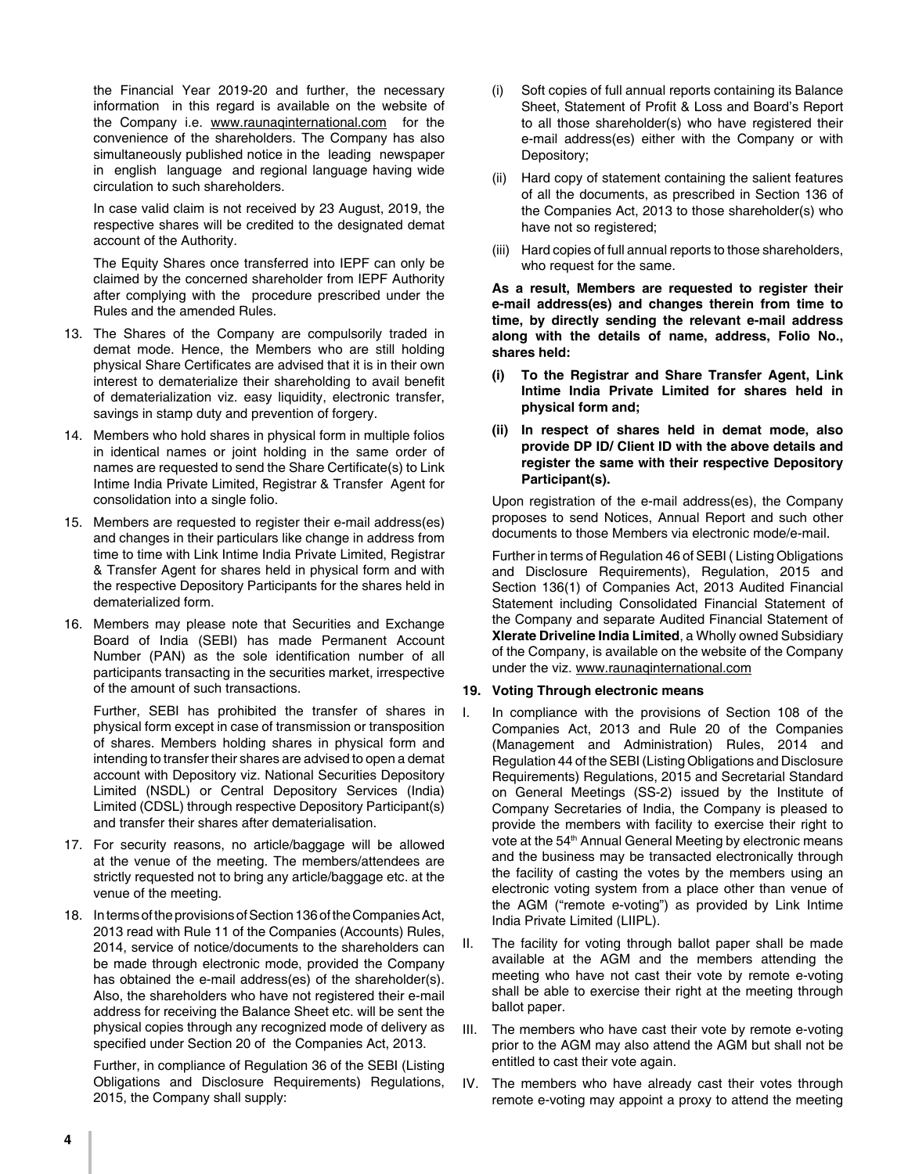the Financial Year 2019-20 and further, the necessary information in this regard is available on the website of the Company i.e. www.raunaqinternational.com for the convenience of the shareholders. The Company has also simultaneously published notice in the leading newspaper in english language and regional language having wide circulation to such shareholders.

In case valid claim is not received by 23 August, 2019, the respective shares will be credited to the designated demat account of the Authority.

The Equity Shares once transferred into IEPF can only be claimed by the concerned shareholder from IEPF Authority after complying with the procedure prescribed under the Rules and the amended Rules.

- 13. The Shares of the Company are compulsorily traded in demat mode. Hence, the Members who are still holding physical Share Certificates are advised that it is in their own interest to dematerialize their shareholding to avail benefit of dematerialization viz. easy liquidity, electronic transfer, savings in stamp duty and prevention of forgery.
- 14. Members who hold shares in physical form in multiple folios in identical names or joint holding in the same order of names are requested to send the Share Certificate(s) to Link Intime India Private Limited, Registrar & Transfer Agent for consolidation into a single folio.
- 15. Members are requested to register their e-mail address(es) and changes in their particulars like change in address from time to time with Link Intime India Private Limited, Registrar & Transfer Agent for shares held in physical form and with the respective Depository Participants for the shares held in dematerialized form.
- 16. Members may please note that Securities and Exchange Board of India (SEBI) has made Permanent Account Number (PAN) as the sole identification number of all participants transacting in the securities market, irrespective of the amount of such transactions.

Further, SEBI has prohibited the transfer of shares in physical form except in case of transmission or transposition of shares. Members holding shares in physical form and intending to transfer their shares are advised to open a demat account with Depository viz. National Securities Depository Limited (NSDL) or Central Depository Services (India) Limited (CDSL) through respective Depository Participant(s) and transfer their shares after dematerialisation.

- 17. For security reasons, no article/baggage will be allowed at the venue of the meeting. The members/attendees are strictly requested not to bring any article/baggage etc. at the venue of the meeting.
- 18. In terms of the provisions of Section 136 of the Companies Act, 2013 read with Rule 11 of the Companies (Accounts) Rules, 2014, service of notice/documents to the shareholders can be made through electronic mode, provided the Company has obtained the e-mail address(es) of the shareholder(s). Also, the shareholders who have not registered their e-mail address for receiving the Balance Sheet etc. will be sent the physical copies through any recognized mode of delivery as specified under Section 20 of the Companies Act, 2013.

Further, in compliance of Regulation 36 of the SEBI (Listing Obligations and Disclosure Requirements) Regulations, 2015, the Company shall supply:

- (i) Soft copies of full annual reports containing its Balance Sheet, Statement of Profit & Loss and Board's Report to all those shareholder(s) who have registered their e-mail address(es) either with the Company or with Depository;
- (ii) Hard copy of statement containing the salient features of all the documents, as prescribed in Section 136 of the Companies Act, 2013 to those shareholder(s) who have not so registered;
- (iii) Hard copies of full annual reports to those shareholders, who request for the same.

**As a result, Members are requested to register their e-mail address(es) and changes therein from time to time, by directly sending the relevant e-mail address along with the details of name, address, Folio No., shares held:**

- **(i) To the Registrar and Share Transfer Agent, Link Intime India Private Limited for shares held in physical form and;**
- **(ii) In respect of shares held in demat mode, also provide DP ID/ Client ID with the above details and register the same with their respective Depository Participant(s).**

Upon registration of the e-mail address(es), the Company proposes to send Notices, Annual Report and such other documents to those Members via electronic mode/e-mail.

Further in terms of Regulation 46 of SEBI ( Listing Obligations and Disclosure Requirements), Regulation, 2015 and Section 136(1) of Companies Act, 2013 Audited Financial Statement including Consolidated Financial Statement of the Company and separate Audited Financial Statement of **Xlerate Driveline India Limited**, a Wholly owned Subsidiary of the Company, is available on the website of the Company under the viz. www.raunaqinternational.com

#### **19. Voting Through electronic means**

- I. In compliance with the provisions of Section 108 of the Companies Act, 2013 and Rule 20 of the Companies (Management and Administration) Rules, 2014 and Regulation 44 of the SEBI (Listing Obligations and Disclosure Requirements) Regulations, 2015 and Secretarial Standard on General Meetings (SS-2) issued by the Institute of Company Secretaries of India, the Company is pleased to provide the members with facility to exercise their right to vote at the 54<sup>th</sup> Annual General Meeting by electronic means and the business may be transacted electronically through the facility of casting the votes by the members using an electronic voting system from a place other than venue of the AGM ("remote e-voting") as provided by Link Intime India Private Limited (LIIPL).
- II. The facility for voting through ballot paper shall be made available at the AGM and the members attending the meeting who have not cast their vote by remote e-voting shall be able to exercise their right at the meeting through ballot paper.
- III. The members who have cast their vote by remote e-voting prior to the AGM may also attend the AGM but shall not be entitled to cast their vote again.
- IV. The members who have already cast their votes through remote e-voting may appoint a proxy to attend the meeting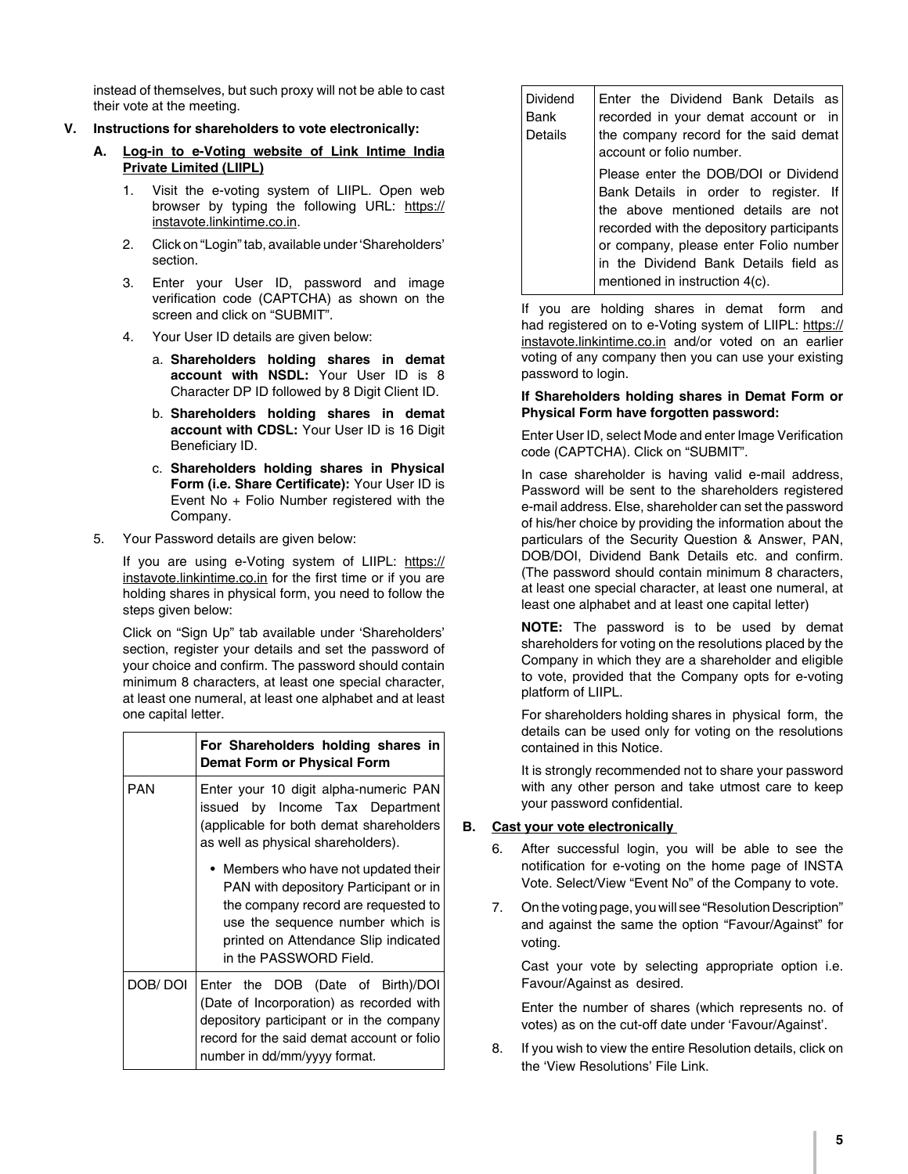instead of themselves, but such proxy will not be able to cast their vote at the meeting.

- **V. Instructions for shareholders to vote electronically:**
	- **A. Log-in to e-Voting website of Link Intime India Private Limited (LIIPL)**
		- 1. Visit the e-voting system of LIIPL. Open web browser by typing the following URL: https:// instavote.linkintime.co.in.
		- 2. Click on "Login" tab, available under 'Shareholders' section.
		- 3. Enter your User ID, password and image verification code (CAPTCHA) as shown on the screen and click on "SUBMIT"
		- 4. Your User ID details are given below:
			- a. **Shareholders holding shares in demat account with NSDL:** Your User ID is 8 Character DP ID followed by 8 Digit Client ID.
			- b. **Shareholders holding shares in demat account with CDSL:** Your User ID is 16 Digit Beneficiary ID.
			- c. **Shareholders holding shares in Physical Form (i.e. Share Certificate):** Your User ID is Event No + Folio Number registered with the Company.
	- 5. Your Password details are given below:

If you are using e-Voting system of LIIPL: https:// instavote.linkintime.co.in for the first time or if you are holding shares in physical form, you need to follow the steps given below:

 Click on "Sign Up" tab available under 'Shareholders' section, register your details and set the password of your choice and confirm. The password should contain minimum 8 characters, at least one special character, at least one numeral, at least one alphabet and at least one capital letter.

|            | For Shareholders holding shares in<br>Demat Form or Physical Form                                                                                                                                                          |  |
|------------|----------------------------------------------------------------------------------------------------------------------------------------------------------------------------------------------------------------------------|--|
| <b>PAN</b> | Enter your 10 digit alpha-numeric PAN<br>issued by Income Tax Department<br>(applicable for both demat shareholders)<br>as well as physical shareholders).                                                                 |  |
|            | • Members who have not updated their<br>PAN with depository Participant or in<br>the company record are requested to<br>use the sequence number which is<br>printed on Attendance Slip indicated<br>in the PASSWORD Field. |  |
| DOB/DOI    | Enter the DOB (Date of Birth)/DOI<br>(Date of Incorporation) as recorded with<br>depository participant or in the company<br>record for the said demat account or folio<br>number in dd/mm/yyyy format.                    |  |

| Dividend<br>Bank<br>Details | Enter the Dividend Bank Details as<br>recorded in your demat account or in<br>the company record for the said demat<br>account or folio number.                                                                                                                                       |
|-----------------------------|---------------------------------------------------------------------------------------------------------------------------------------------------------------------------------------------------------------------------------------------------------------------------------------|
|                             | Please enter the DOB/DOI or Dividend<br>Bank Details in order to register. If<br>the above mentioned details are not<br>recorded with the depository participants<br>or company, please enter Folio number<br>in the Dividend Bank Details field as<br>mentioned in instruction 4(c). |

 If you are holding shares in demat form and had registered on to e-Voting system of LIIPL: https:// instavote.linkintime.co.in and/or voted on an earlier voting of any company then you can use your existing password to login.

#### **If Shareholders holding shares in Demat Form or Physical Form have forgotten password:**

Enter User ID, select Mode and enter Image Verification code (CAPTCHA). Click on "SUBMIT".

 In case shareholder is having valid e-mail address, Password will be sent to the shareholders registered e-mail address. Else, shareholder can set the password of his/her choice by providing the information about the particulars of the Security Question & Answer, PAN, DOB/DOI, Dividend Bank Details etc. and confirm. (The password should contain minimum 8 characters, at least one special character, at least one numeral, at least one alphabet and at least one capital letter)

 **NOTE:** The password is to be used by demat shareholders for voting on the resolutions placed by the Company in which they are a shareholder and eligible to vote, provided that the Company opts for e-voting platform of LIIPL.

 For shareholders holding shares in physical form, the details can be used only for voting on the resolutions contained in this Notice.

 It is strongly recommended not to share your password with any other person and take utmost care to keep your password confidential.

### **B. Cast your vote electronically**

- After successful login, you will be able to see the notification for e-voting on the home page of INSTA Vote. Select/View "Event No" of the Company to vote.
- 7. On the voting page, you will see "Resolution Description" and against the same the option "Favour/Against" for voting.

 Cast your vote by selecting appropriate option i.e. Favour/Against as desired.

 Enter the number of shares (which represents no. of votes) as on the cut-off date under 'Favour/Against'.

8. If you wish to view the entire Resolution details, click on the 'View Resolutions' File Link.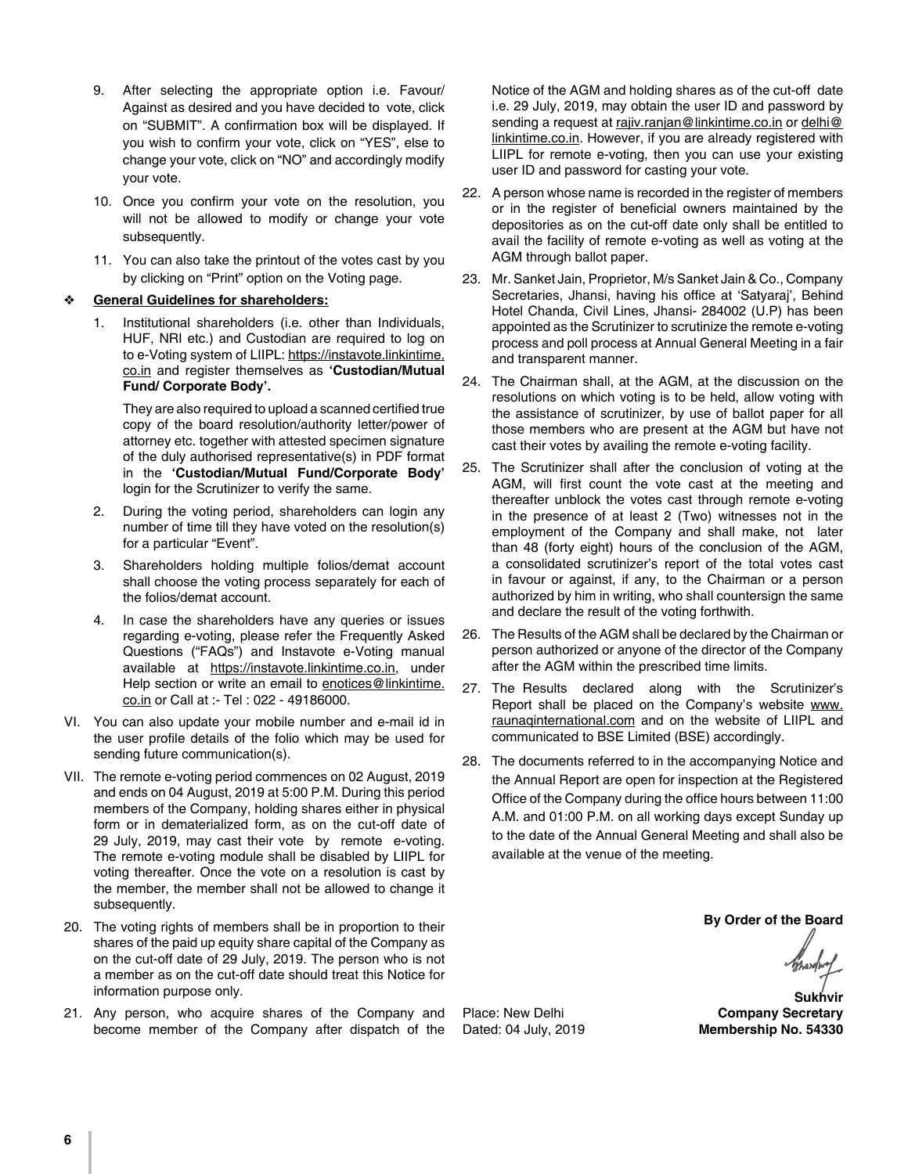- 9. After selecting the appropriate option i.e. Favour/ Against as desired and you have decided to vote, click on "SUBMIT". A confirmation box will be displayed. If you wish to confirm your vote, click on "YES", else to change your vote, click on "NO" and accordingly modify your vote.
- 10. Once you confirm your vote on the resolution, you will not be allowed to modify or change your vote subsequently.
- 11. You can also take the printout of the votes cast by you by clicking on "Print" option on the Voting page.

#### **General Guidelines for shareholders:**

1. Institutional shareholders (i.e. other than Individuals, HUF, NRI etc.) and Custodian are required to log on to e-Voting system of LIIPL: https://instavote.linkintime. co.in and register themselves as **'Custodian/Mutual Fund/ Corporate Body'.**

They are also required to upload a scanned certified true copy of the board resolution/authority letter/power of attorney etc. together with attested specimen signature of the duly authorised representative(s) in PDF format in the **'Custodian/Mutual Fund/Corporate Body'** login for the Scrutinizer to verify the same.

- 2. During the voting period, shareholders can login any number of time till they have voted on the resolution(s) for a particular "Event".
- 3. Shareholders holding multiple folios/demat account shall choose the voting process separately for each of the folios/demat account.
- 4. In case the shareholders have any queries or issues regarding e-voting, please refer the Frequently Asked Questions ("FAQs") and Instavote e-Voting manual available at https://instavote.linkintime.co.in, under Help section or write an email to enotices@linkintime. co.in or Call at :- Tel : 022 - 49186000.
- VI. You can also update your mobile number and e-mail id in the user profile details of the folio which may be used for sending future communication(s).
- VII. The remote e-voting period commences on 02 August, 2019 and ends on 04 August, 2019 at 5:00 P.M. During this period members of the Company, holding shares either in physical form or in dematerialized form, as on the cut-off date of 29 July, 2019, may cast their vote by remote e-voting. The remote e-voting module shall be disabled by LIIPL for voting thereafter. Once the vote on a resolution is cast by the member, the member shall not be allowed to change it subsequently.
- 20. The voting rights of members shall be in proportion to their shares of the paid up equity share capital of the Company as on the cut-off date of 29 July, 2019. The person who is not a member as on the cut-off date should treat this Notice for information purpose only.
- 21. Any person, who acquire shares of the Company and become member of the Company after dispatch of the

Notice of the AGM and holding shares as of the cut-off date i.e. 29 July, 2019, may obtain the user ID and password by sending a request at rajiv.ranjan@linkintime.co.in or delhi@ linkintime.co.in. However, if you are already registered with LIIPL for remote e-voting, then you can use your existing user ID and password for casting your vote.

- 22. A person whose name is recorded in the register of members or in the register of beneficial owners maintained by the depositories as on the cut-off date only shall be entitled to avail the facility of remote e-voting as well as voting at the AGM through ballot paper.
- 23. Mr. Sanket Jain, Proprietor, M/s Sanket Jain & Co., Company Secretaries, Jhansi, having his office at 'Satyaraj', Behind Hotel Chanda, Civil Lines, Jhansi- 284002 (U.P) has been appointed as the Scrutinizer to scrutinize the remote e-voting process and poll process at Annual General Meeting in a fair and transparent manner.
- 24. The Chairman shall, at the AGM, at the discussion on the resolutions on which voting is to be held, allow voting with the assistance of scrutinizer, by use of ballot paper for all those members who are present at the AGM but have not cast their votes by availing the remote e-voting facility.
- 25. The Scrutinizer shall after the conclusion of voting at the AGM, will first count the vote cast at the meeting and thereafter unblock the votes cast through remote e-voting in the presence of at least 2 (Two) witnesses not in the employment of the Company and shall make, not later than 48 (forty eight) hours of the conclusion of the AGM, a consolidated scrutinizer's report of the total votes cast in favour or against, if any, to the Chairman or a person authorized by him in writing, who shall countersign the same and declare the result of the voting forthwith.
- 26. The Results of the AGM shall be declared by the Chairman or person authorized or anyone of the director of the Company after the AGM within the prescribed time limits.
- 27. The Results declared along with the Scrutinizer's Report shall be placed on the Company's website www. raunaqinternational.com and on the website of LIIPL and communicated to BSE Limited (BSE) accordingly.
- 28. The documents referred to in the accompanying Notice and the Annual Report are open for inspection at the Registered Office of the Company during the office hours between 11:00 A.M. and 01:00 P.M. on all working days except Sunday up to the date of the Annual General Meeting and shall also be available at the venue of the meeting.

**By Order of the Board**

 **Sukhvir** Place: New Delhi **Company Secretary**<br>
Dated: 04 July, 2019 **Membership No. 54330 Membership No. 54330**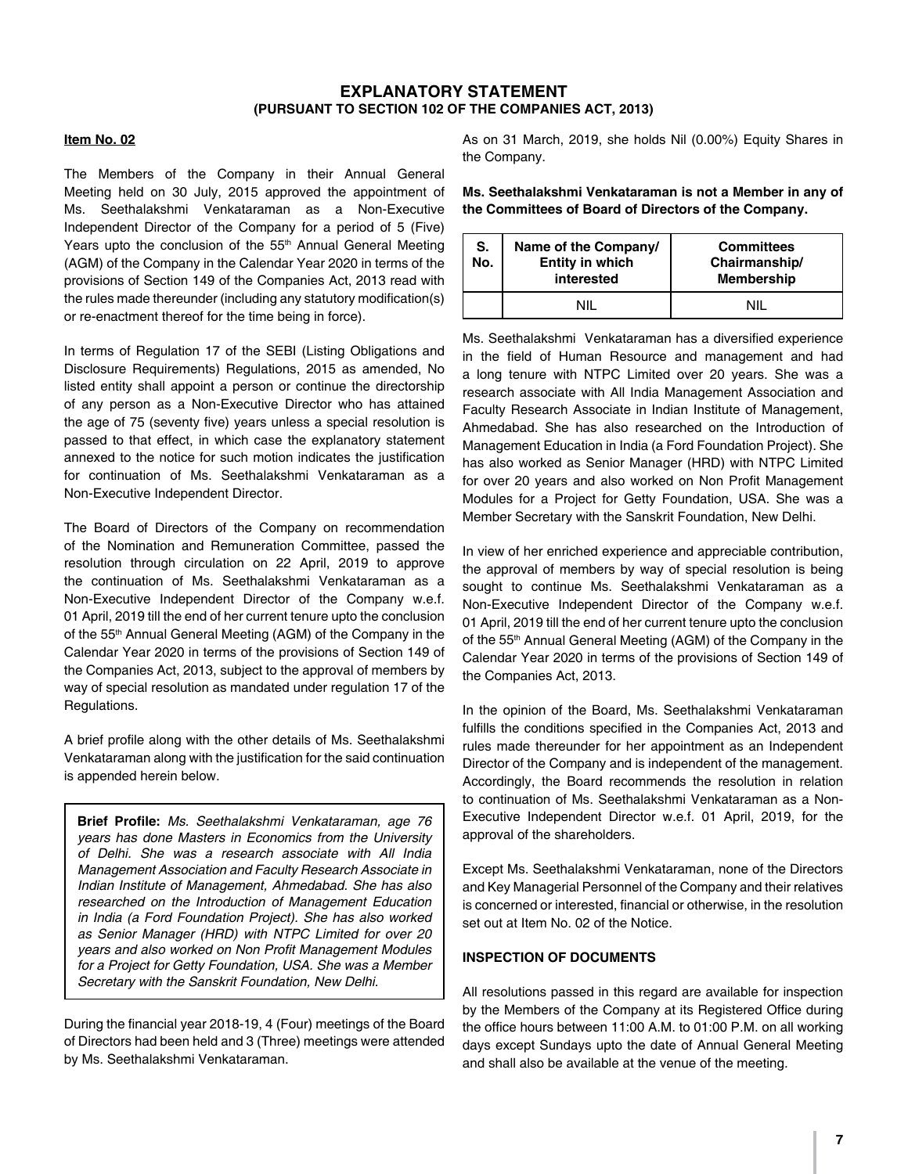### **EXPLANATORY STATEMENT (PURSUANT TO SECTION 102 OF THE COMPANIES ACT, 2013)**

#### **Item No. 02**

The Members of the Company in their Annual General Meeting held on 30 July, 2015 approved the appointment of Ms. Seethalakshmi Venkataraman as a Non-Executive Independent Director of the Company for a period of 5 (Five) Years upto the conclusion of the 55<sup>th</sup> Annual General Meeting (AGM) of the Company in the Calendar Year 2020 in terms of the provisions of Section 149 of the Companies Act, 2013 read with the rules made thereunder (including any statutory modification(s) or re-enactment thereof for the time being in force).

In terms of Regulation 17 of the SEBI (Listing Obligations and Disclosure Requirements) Regulations, 2015 as amended, No listed entity shall appoint a person or continue the directorship of any person as a Non-Executive Director who has attained the age of 75 (seventy five) years unless a special resolution is passed to that effect, in which case the explanatory statement annexed to the notice for such motion indicates the justification for continuation of Ms. Seethalakshmi Venkataraman as a Non-Executive Independent Director.

The Board of Directors of the Company on recommendation of the Nomination and Remuneration Committee, passed the resolution through circulation on 22 April, 2019 to approve the continuation of Ms. Seethalakshmi Venkataraman as a Non-Executive Independent Director of the Company w.e.f. 01 April, 2019 till the end of her current tenure upto the conclusion of the 55<sup>th</sup> Annual General Meeting (AGM) of the Company in the Calendar Year 2020 in terms of the provisions of Section 149 of the Companies Act, 2013, subject to the approval of members by way of special resolution as mandated under regulation 17 of the Regulations.

A brief profile along with the other details of Ms. Seethalakshmi Venkataraman along with the justification for the said continuation is appended herein below.

**Brief Profile:** *Ms. Seethalakshmi Venkataraman, age 76 years has done Masters in Economics from the University of Delhi. She was a research associate with All India Management Association and Faculty Research Associate in Indian Institute of Management, Ahmedabad. She has also researched on the Introduction of Management Education in India (a Ford Foundation Project). She has also worked as Senior Manager (HRD) with NTPC Limited for over 20*  years and also worked on Non Profit Management Modules *for a Project for Getty Foundation, USA. She was a Member Secretary with the Sanskrit Foundation, New Delhi.*

During the financial year 2018-19, 4 (Four) meetings of the Board of Directors had been held and 3 (Three) meetings were attended by Ms. Seethalakshmi Venkataraman.

As on 31 March, 2019, she holds Nil (0.00%) Equity Shares in the Company.

**Ms. Seethalakshmi Venkataraman is not a Member in any of the Committees of Board of Directors of the Company.**

| S.<br>No. | Name of the Company/<br>Entity in which<br>interested | <b>Committees</b><br>Chairmanship/<br><b>Membership</b> |
|-----------|-------------------------------------------------------|---------------------------------------------------------|
|           | MШ                                                    | ΝIΙ                                                     |

Ms. Seethalakshmi Venkataraman has a diversified experience in the field of Human Resource and management and had a long tenure with NTPC Limited over 20 years. She was a research associate with All India Management Association and Faculty Research Associate in Indian Institute of Management, Ahmedabad. She has also researched on the Introduction of Management Education in India (a Ford Foundation Project). She has also worked as Senior Manager (HRD) with NTPC Limited for over 20 years and also worked on Non Profit Management Modules for a Project for Getty Foundation, USA. She was a Member Secretary with the Sanskrit Foundation, New Delhi.

In view of her enriched experience and appreciable contribution, the approval of members by way of special resolution is being sought to continue Ms. Seethalakshmi Venkataraman as a Non-Executive Independent Director of the Company w.e.f. 01 April, 2019 till the end of her current tenure upto the conclusion of the 55th Annual General Meeting (AGM) of the Company in the Calendar Year 2020 in terms of the provisions of Section 149 of the Companies Act, 2013.

In the opinion of the Board, Ms. Seethalakshmi Venkataraman fulfills the conditions specified in the Companies Act, 2013 and rules made thereunder for her appointment as an Independent Director of the Company and is independent of the management. Accordingly, the Board recommends the resolution in relation to continuation of Ms. Seethalakshmi Venkataraman as a Non-Executive Independent Director w.e.f. 01 April, 2019, for the approval of the shareholders.

Except Ms. Seethalakshmi Venkataraman, none of the Directors and Key Managerial Personnel of the Company and their relatives is concerned or interested, financial or otherwise, in the resolution set out at Item No. 02 of the Notice.

#### **INSPECTION OF DOCUMENTS**

All resolutions passed in this regard are available for inspection by the Members of the Company at its Registered Office during the office hours between 11:00 A.M. to 01:00 P.M. on all working days except Sundays upto the date of Annual General Meeting and shall also be available at the venue of the meeting.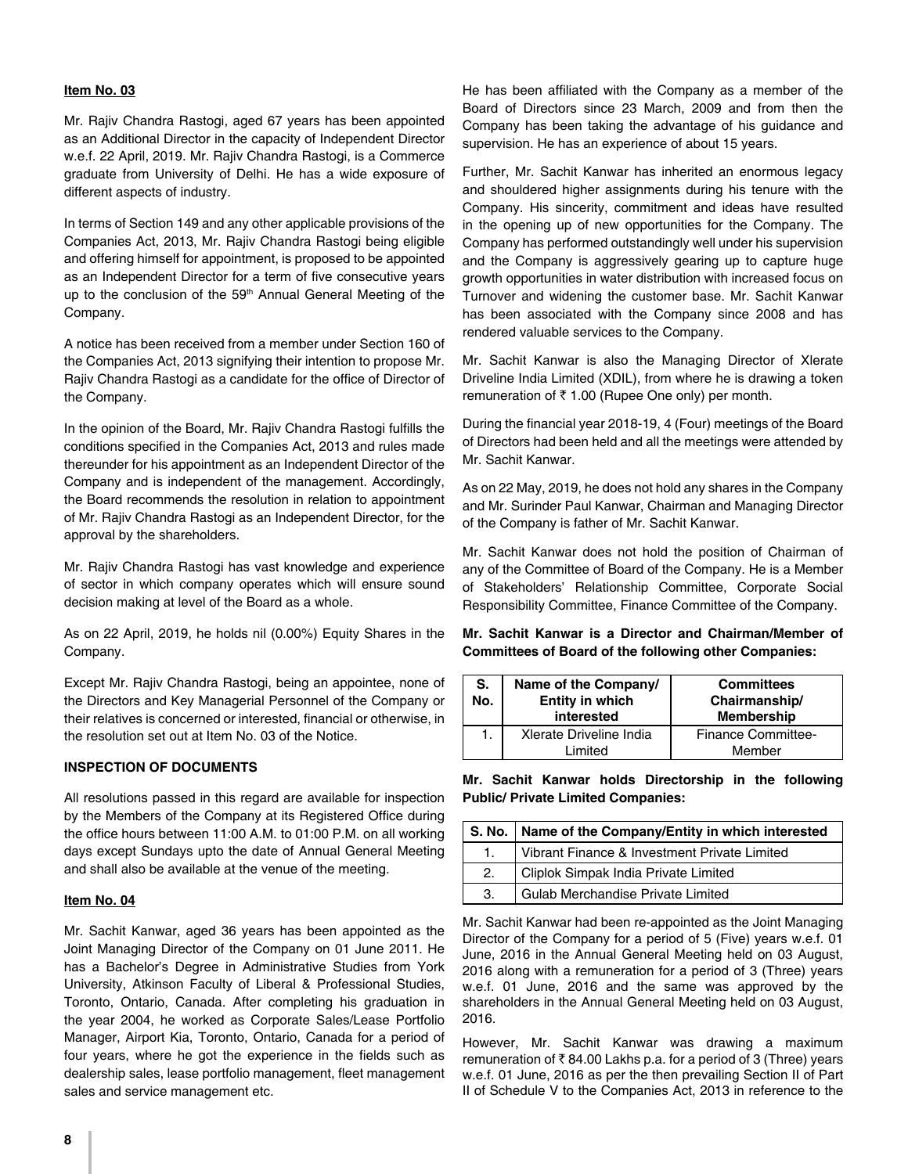#### **Item No. 03**

Mr. Rajiv Chandra Rastogi, aged 67 years has been appointed as an Additional Director in the capacity of Independent Director w.e.f. 22 April, 2019. Mr. Rajiv Chandra Rastogi, is a Commerce graduate from University of Delhi. He has a wide exposure of different aspects of industry.

In terms of Section 149 and any other applicable provisions of the Companies Act, 2013, Mr. Rajiv Chandra Rastogi being eligible and offering himself for appointment, is proposed to be appointed as an Independent Director for a term of five consecutive years up to the conclusion of the 59<sup>th</sup> Annual General Meeting of the Company.

A notice has been received from a member under Section 160 of the Companies Act, 2013 signifying their intention to propose Mr. Rajiv Chandra Rastogi as a candidate for the office of Director of the Company.

In the opinion of the Board, Mr. Rajiv Chandra Rastogi fulfills the conditions specified in the Companies Act, 2013 and rules made thereunder for his appointment as an Independent Director of the Company and is independent of the management. Accordingly, the Board recommends the resolution in relation to appointment of Mr. Rajiv Chandra Rastogi as an Independent Director, for the approval by the shareholders.

Mr. Rajiv Chandra Rastogi has vast knowledge and experience of sector in which company operates which will ensure sound decision making at level of the Board as a whole.

As on 22 April, 2019, he holds nil (0.00%) Equity Shares in the Company.

Except Mr. Rajiv Chandra Rastogi, being an appointee, none of the Directors and Key Managerial Personnel of the Company or their relatives is concerned or interested, financial or otherwise, in the resolution set out at Item No. 03 of the Notice.

#### **INSPECTION OF DOCUMENTS**

All resolutions passed in this regard are available for inspection by the Members of the Company at its Registered Office during the office hours between 11:00 A.M. to 01:00 P.M. on all working days except Sundays upto the date of Annual General Meeting and shall also be available at the venue of the meeting.

#### **Item No. 04**

Mr. Sachit Kanwar, aged 36 years has been appointed as the Joint Managing Director of the Company on 01 June 2011. He has a Bachelor's Degree in Administrative Studies from York University, Atkinson Faculty of Liberal & Professional Studies, Toronto, Ontario, Canada. After completing his graduation in the year 2004, he worked as Corporate Sales/Lease Portfolio Manager, Airport Kia, Toronto, Ontario, Canada for a period of four years, where he got the experience in the fields such as dealership sales, lease portfolio management, fleet management sales and service management etc.

He has been affiliated with the Company as a member of the Board of Directors since 23 March, 2009 and from then the Company has been taking the advantage of his guidance and supervision. He has an experience of about 15 years.

Further, Mr. Sachit Kanwar has inherited an enormous legacy and shouldered higher assignments during his tenure with the Company. His sincerity, commitment and ideas have resulted in the opening up of new opportunities for the Company. The Company has performed outstandingly well under his supervision and the Company is aggressively gearing up to capture huge growth opportunities in water distribution with increased focus on Turnover and widening the customer base. Mr. Sachit Kanwar has been associated with the Company since 2008 and has rendered valuable services to the Company.

Mr. Sachit Kanwar is also the Managing Director of Xlerate Driveline India Limited (XDIL), from where he is drawing a token remuneration of  $\bar{\tau}$  1.00 (Rupee One only) per month.

During the financial year 2018-19, 4 (Four) meetings of the Board of Directors had been held and all the meetings were attended by Mr. Sachit Kanwar.

As on 22 May, 2019, he does not hold any shares in the Company and Mr. Surinder Paul Kanwar, Chairman and Managing Director of the Company is father of Mr. Sachit Kanwar.

Mr. Sachit Kanwar does not hold the position of Chairman of any of the Committee of Board of the Company. He is a Member of Stakeholders' Relationship Committee, Corporate Social Responsibility Committee, Finance Committee of the Company.

**Mr. Sachit Kanwar is a Director and Chairman/Member of Committees of Board of the following other Companies:**

| S.<br>No. | Name of the Company/<br><b>Entity in which</b><br>interested | <b>Committees</b><br>Chairmanship/<br><b>Membership</b> |
|-----------|--------------------------------------------------------------|---------------------------------------------------------|
| 1.        | Xlerate Driveline India<br>Limited                           | <b>Finance Committee-</b><br>Member                     |

**Mr. Sachit Kanwar holds Directorship in the following Public/ Private Limited Companies:**

|                | S. No.   Name of the Company/Entity in which interested |  |
|----------------|---------------------------------------------------------|--|
| $\mathbf{1}$ . | Vibrant Finance & Investment Private Limited            |  |
| 2.             | Cliplok Simpak India Private Limited                    |  |
| 3.             | <b>Gulab Merchandise Private Limited</b>                |  |

Mr. Sachit Kanwar had been re-appointed as the Joint Managing Director of the Company for a period of 5 (Five) years w.e.f. 01 June, 2016 in the Annual General Meeting held on 03 August, 2016 along with a remuneration for a period of 3 (Three) years w.e.f. 01 June, 2016 and the same was approved by the shareholders in the Annual General Meeting held on 03 August, 2016.

However, Mr. Sachit Kanwar was drawing a maximum remuneration of  $\bar{\tau}$  84.00 Lakhs p.a. for a period of 3 (Three) years w.e.f. 01 June, 2016 as per the then prevailing Section II of Part II of Schedule V to the Companies Act, 2013 in reference to the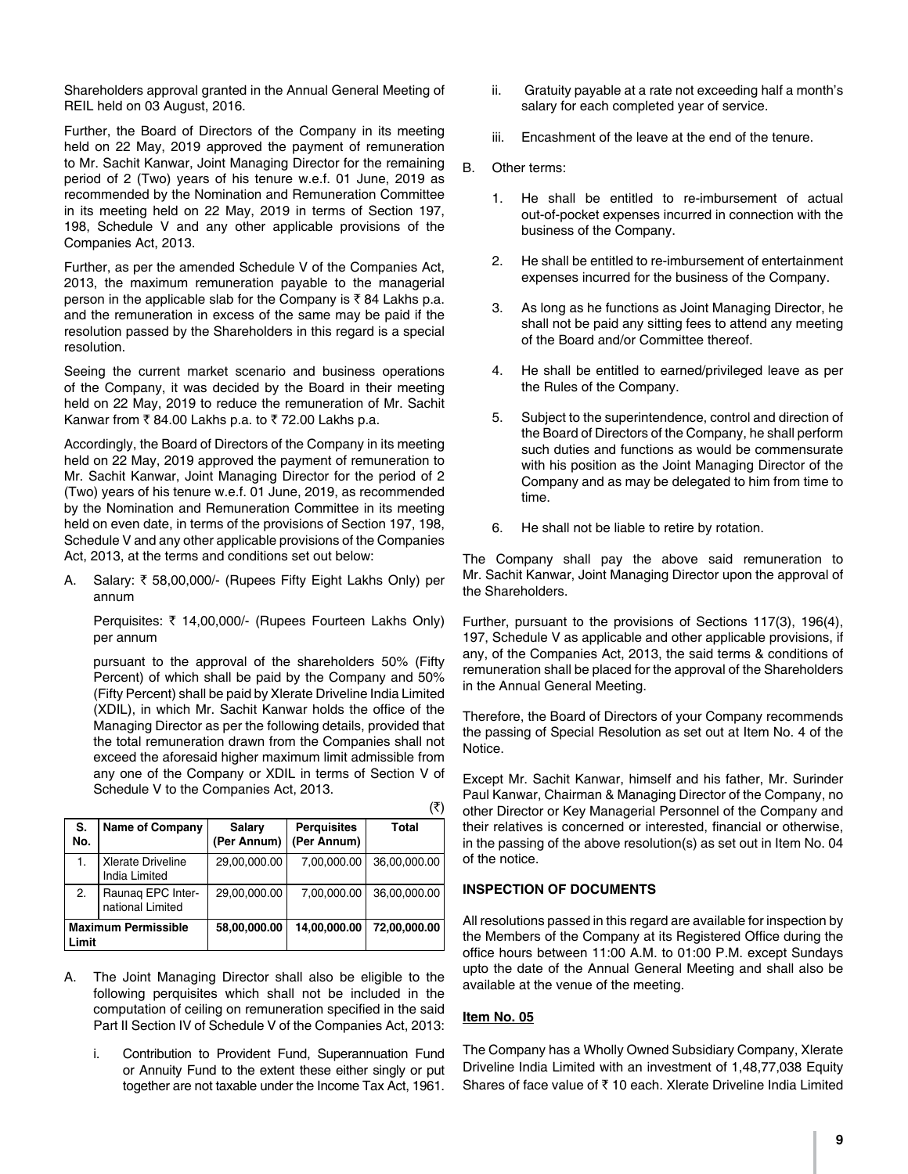Shareholders approval granted in the Annual General Meeting of REIL held on 03 August, 2016.

Further, the Board of Directors of the Company in its meeting held on 22 May, 2019 approved the payment of remuneration to Mr. Sachit Kanwar, Joint Managing Director for the remaining period of 2 (Two) years of his tenure w.e.f. 01 June, 2019 as recommended by the Nomination and Remuneration Committee in its meeting held on 22 May, 2019 in terms of Section 197, 198, Schedule V and any other applicable provisions of the Companies Act, 2013.

Further, as per the amended Schedule V of the Companies Act, 2013, the maximum remuneration payable to the managerial person in the applicable slab for the Company is  $\bar{\tau}$  84 Lakhs p.a. and the remuneration in excess of the same may be paid if the resolution passed by the Shareholders in this regard is a special resolution.

Seeing the current market scenario and business operations of the Company, it was decided by the Board in their meeting held on 22 May, 2019 to reduce the remuneration of Mr. Sachit Kanwar from  $\bar{\tau}$  84.00 Lakhs p.a. to  $\bar{\tau}$  72.00 Lakhs p.a.

Accordingly, the Board of Directors of the Company in its meeting held on 22 May, 2019 approved the payment of remuneration to Mr. Sachit Kanwar, Joint Managing Director for the period of 2 (Two) years of his tenure w.e.f. 01 June, 2019, as recommended by the Nomination and Remuneration Committee in its meeting held on even date, in terms of the provisions of Section 197, 198, Schedule V and any other applicable provisions of the Companies Act, 2013, at the terms and conditions set out below:

A. Salary:  $\overline{\xi}$  58,00,000/- (Rupees Fifty Eight Lakhs Only) per annum

Perquisites: ₹ 14,00,000/- (Rupees Fourteen Lakhs Only) per annum

pursuant to the approval of the shareholders 50% (Fifty Percent) of which shall be paid by the Company and 50% (Fifty Percent) shall be paid by Xlerate Driveline India Limited (XDIL), in which Mr. Sachit Kanwar holds the office of the Managing Director as per the following details, provided that the total remuneration drawn from the Companies shall not exceed the aforesaid higher maximum limit admissible from any one of the Company or XDIL in terms of Section V of Schedule V to the Companies Act, 2013.

|                                     |                                           |                       |                                   | ( V J        |
|-------------------------------------|-------------------------------------------|-----------------------|-----------------------------------|--------------|
| S.<br>No.                           | <b>Name of Company</b>                    | Salary<br>(Per Annum) | <b>Perquisites</b><br>(Per Annum) | Total        |
| 1.                                  | Xlerate Driveline<br><b>India Limited</b> | 29,00,000.00          | 7,00,000.00                       | 36,00,000.00 |
| 2.                                  | Raunaq EPC Inter-<br>national Limited     | 29,00,000.00          | 7,00,000.00                       | 36,00,000.00 |
| <b>Maximum Permissible</b><br>Limit |                                           | 58.00.000.00          | 14.00.000.00                      | 72.00.000.00 |

- A. The Joint Managing Director shall also be eligible to the following perquisites which shall not be included in the computation of ceiling on remuneration specified in the said Part II Section IV of Schedule V of the Companies Act, 2013:
	- i. Contribution to Provident Fund, Superannuation Fund or Annuity Fund to the extent these either singly or put together are not taxable under the Income Tax Act, 1961.
- ii. Gratuity payable at a rate not exceeding half a month's salary for each completed year of service.
- iii. Encashment of the leave at the end of the tenure.
- B. Other terms:
	- 1. He shall be entitled to re-imbursement of actual out-of-pocket expenses incurred in connection with the business of the Company.
	- 2. He shall be entitled to re-imbursement of entertainment expenses incurred for the business of the Company.
	- 3. As long as he functions as Joint Managing Director, he shall not be paid any sitting fees to attend any meeting of the Board and/or Committee thereof.
	- 4. He shall be entitled to earned/privileged leave as per the Rules of the Company.
	- 5. Subject to the superintendence, control and direction of the Board of Directors of the Company, he shall perform such duties and functions as would be commensurate with his position as the Joint Managing Director of the Company and as may be delegated to him from time to time.
	- 6. He shall not be liable to retire by rotation.

The Company shall pay the above said remuneration to Mr. Sachit Kanwar, Joint Managing Director upon the approval of the Shareholders.

Further, pursuant to the provisions of Sections 117(3), 196(4), 197, Schedule V as applicable and other applicable provisions, if any, of the Companies Act, 2013, the said terms & conditions of remuneration shall be placed for the approval of the Shareholders in the Annual General Meeting.

Therefore, the Board of Directors of your Company recommends the passing of Special Resolution as set out at Item No. 4 of the Notice.

Except Mr. Sachit Kanwar, himself and his father, Mr. Surinder Paul Kanwar, Chairman & Managing Director of the Company, no other Director or Key Managerial Personnel of the Company and their relatives is concerned or interested, financial or otherwise, in the passing of the above resolution(s) as set out in Item No. 04 of the notice.

#### **INSPECTION OF DOCUMENTS**

All resolutions passed in this regard are available for inspection by the Members of the Company at its Registered Office during the office hours between 11:00 A.M. to 01:00 P.M. except Sundays upto the date of the Annual General Meeting and shall also be available at the venue of the meeting.

#### **Item No. 05**

 $\overline{f}$ 

The Company has a Wholly Owned Subsidiary Company, Xlerate Driveline India Limited with an investment of 1,48,77,038 Equity Shares of face value of  $\bar{x}$  10 each. Xlerate Driveline India Limited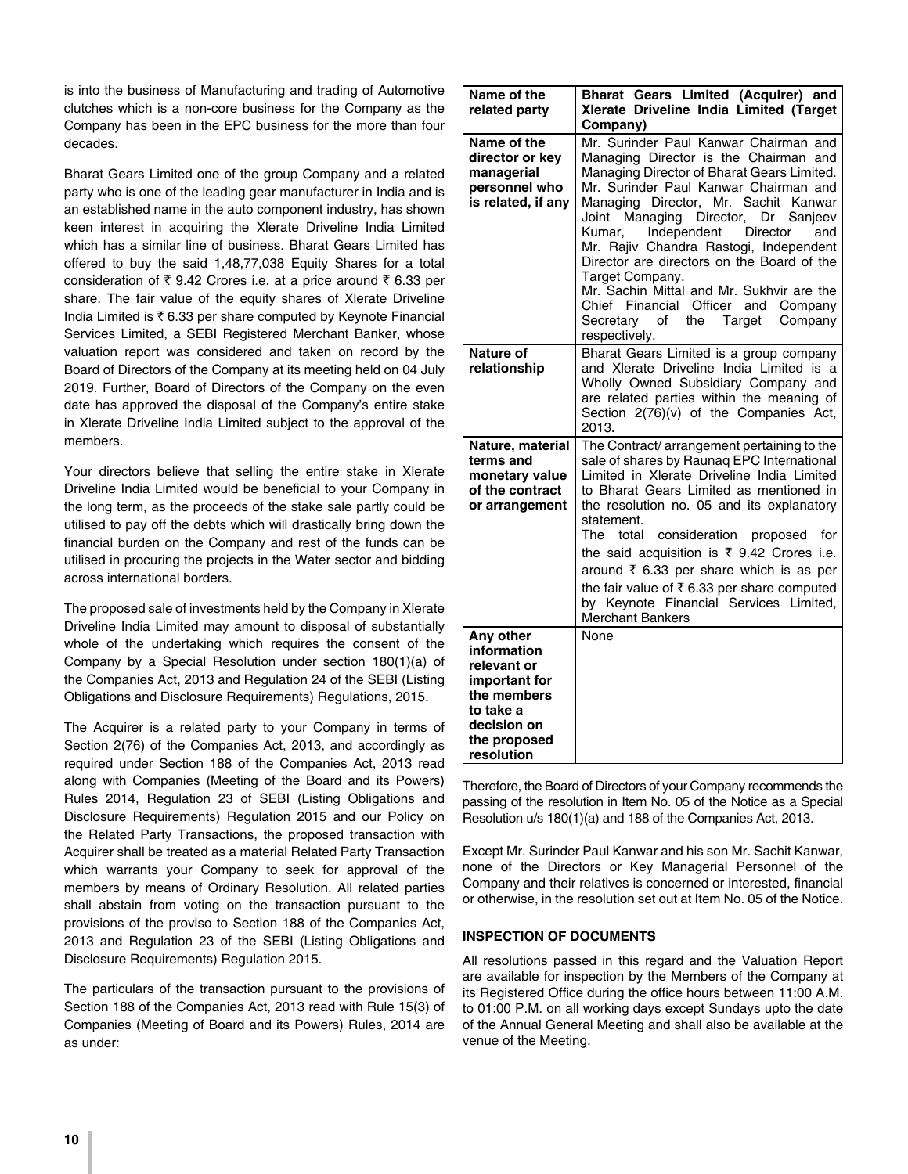is into the business of Manufacturing and trading of Automotive clutches which is a non-core business for the Company as the Company has been in the EPC business for the more than four decades.

Bharat Gears Limited one of the group Company and a related party who is one of the leading gear manufacturer in India and is an established name in the auto component industry, has shown keen interest in acquiring the Xlerate Driveline India Limited which has a similar line of business. Bharat Gears Limited has offered to buy the said 1,48,77,038 Equity Shares for a total consideration of  $\bar{\tau}$  9.42 Crores i.e. at a price around  $\bar{\tau}$  6.33 per share. The fair value of the equity shares of Xlerate Driveline India Limited is  $\bar{\tau}$  6.33 per share computed by Keynote Financial Services Limited, a SEBI Registered Merchant Banker, whose valuation report was considered and taken on record by the Board of Directors of the Company at its meeting held on 04 July 2019. Further, Board of Directors of the Company on the even date has approved the disposal of the Company's entire stake in Xlerate Driveline India Limited subject to the approval of the members.

Your directors believe that selling the entire stake in Xlerate Driveline India Limited would be beneficial to your Company in the long term, as the proceeds of the stake sale partly could be utilised to pay off the debts which will drastically bring down the financial burden on the Company and rest of the funds can be utilised in procuring the projects in the Water sector and bidding across international borders.

The proposed sale of investments held by the Company in Xlerate Driveline India Limited may amount to disposal of substantially whole of the undertaking which requires the consent of the Company by a Special Resolution under section 180(1)(a) of the Companies Act, 2013 and Regulation 24 of the SEBI (Listing Obligations and Disclosure Requirements) Regulations, 2015.

The Acquirer is a related party to your Company in terms of Section 2(76) of the Companies Act, 2013, and accordingly as required under Section 188 of the Companies Act, 2013 read along with Companies (Meeting of the Board and its Powers) Rules 2014, Regulation 23 of SEBI (Listing Obligations and Disclosure Requirements) Regulation 2015 and our Policy on the Related Party Transactions, the proposed transaction with Acquirer shall be treated as a material Related Party Transaction which warrants your Company to seek for approval of the members by means of Ordinary Resolution. All related parties shall abstain from voting on the transaction pursuant to the provisions of the proviso to Section 188 of the Companies Act, 2013 and Regulation 23 of the SEBI (Listing Obligations and Disclosure Requirements) Regulation 2015.

The particulars of the transaction pursuant to the provisions of Section 188 of the Companies Act, 2013 read with Rule 15(3) of Companies (Meeting of Board and its Powers) Rules, 2014 are as under:

| Name of the<br>related party                                                                                                      | Bharat Gears Limited (Acquirer) and<br>Xlerate Driveline India Limited (Target<br>Company)                                                                                                                                                                                                                                                                                                                                                                                                                                                                          |
|-----------------------------------------------------------------------------------------------------------------------------------|---------------------------------------------------------------------------------------------------------------------------------------------------------------------------------------------------------------------------------------------------------------------------------------------------------------------------------------------------------------------------------------------------------------------------------------------------------------------------------------------------------------------------------------------------------------------|
| Name of the<br>director or key<br>managerial<br>personnel who<br>is related, if any                                               | Mr. Surinder Paul Kanwar Chairman and<br>Managing Director is the Chairman and<br>Managing Director of Bharat Gears Limited.<br>Mr. Surinder Paul Kanwar Chairman and<br>Managing Director, Mr. Sachit Kanwar<br>Joint Managing Director, Dr Sanjeev<br>Independent<br><b>Director</b><br>Kumar.<br>and<br>Mr. Rajiv Chandra Rastogi, Independent<br>Director are directors on the Board of the<br>Target Company.<br>Mr. Sachin Mittal and Mr. Sukhvir are the<br>Chief Financial Officer and Company<br>Secretary of<br>Company<br>the<br>Target<br>respectively. |
| Nature of<br>relationship                                                                                                         | Bharat Gears Limited is a group company<br>and Xlerate Driveline India Limited is a<br>Wholly Owned Subsidiary Company and<br>are related parties within the meaning of<br>Section 2(76)(v) of the Companies Act,<br>2013.                                                                                                                                                                                                                                                                                                                                          |
| Nature, material<br>terms and<br>monetary value<br>of the contract<br>or arrangement                                              | The Contract/ arrangement pertaining to the<br>sale of shares by Raunaq EPC International<br>Limited in Xlerate Driveline India Limited<br>to Bharat Gears Limited as mentioned in<br>the resolution no. 05 and its explanatory<br>statement.<br>The<br>total<br>consideration<br>proposed for<br>the said acquisition is $\overline{\xi}$ 9.42 Crores i.e.<br>around ₹ 6.33 per share which is as per<br>the fair value of ₹6.33 per share computed<br>by Keynote Financial Services Limited,<br><b>Merchant Bankers</b>                                           |
| Any other<br>information<br>relevant or<br>important for<br>the members<br>to take a<br>decision on<br>the proposed<br>resolution | None                                                                                                                                                                                                                                                                                                                                                                                                                                                                                                                                                                |

Therefore, the Board of Directors of your Company recommends the passing of the resolution in Item No. 05 of the Notice as a Special Resolution u/s 180(1)(a) and 188 of the Companies Act, 2013.

Except Mr. Surinder Paul Kanwar and his son Mr. Sachit Kanwar, none of the Directors or Key Managerial Personnel of the Company and their relatives is concerned or interested, financial or otherwise, in the resolution set out at Item No. 05 of the Notice.

### **INSPECTION OF DOCUMENTS**

All resolutions passed in this regard and the Valuation Report are available for inspection by the Members of the Company at its Registered Office during the office hours between 11:00 A.M. to 01:00 P.M. on all working days except Sundays upto the date of the Annual General Meeting and shall also be available at the venue of the Meeting.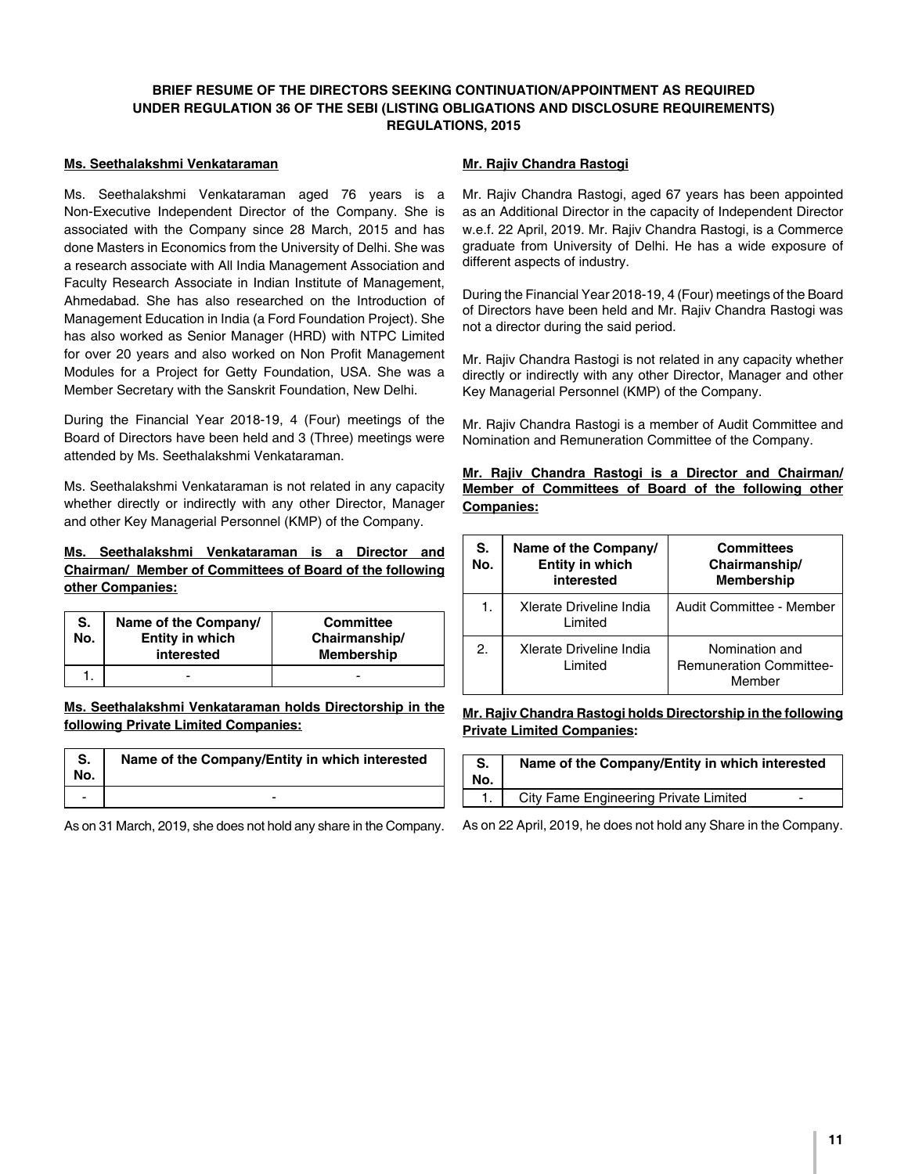### **BRIEF RESUME OF THE DIRECTORS SEEKING CONTINUATION/APPOINTMENT AS REQUIRED UNDER REGULATION 36 OF THE SEBI (LISTING OBLIGATIONS AND DISCLOSURE REQUIREMENTS) REGULATIONS, 2015**

#### **Ms. Seethalakshmi Venkataraman**

Ms. Seethalakshmi Venkataraman aged 76 years is a Non-Executive Independent Director of the Company. She is associated with the Company since 28 March, 2015 and has done Masters in Economics from the University of Delhi. She was a research associate with All India Management Association and Faculty Research Associate in Indian Institute of Management, Ahmedabad. She has also researched on the Introduction of Management Education in India (a Ford Foundation Project). She has also worked as Senior Manager (HRD) with NTPC Limited for over 20 years and also worked on Non Profit Management Modules for a Project for Getty Foundation, USA. She was a Member Secretary with the Sanskrit Foundation, New Delhi.

During the Financial Year 2018-19, 4 (Four) meetings of the Board of Directors have been held and 3 (Three) meetings were attended by Ms. Seethalakshmi Venkataraman.

Ms. Seethalakshmi Venkataraman is not related in any capacity whether directly or indirectly with any other Director, Manager and other Key Managerial Personnel (KMP) of the Company.

### **Ms. Seethalakshmi Venkataraman is a Director and Chairman/ Member of Committees of Board of the following other Companies:**

| S.<br>No. | Name of the Company/<br>Entity in which<br>interested | <b>Committee</b><br>Chairmanship/<br><b>Membership</b> |
|-----------|-------------------------------------------------------|--------------------------------------------------------|
|           | -                                                     |                                                        |

**Ms. Seethalakshmi Venkataraman holds Directorship in the following Private Limited Companies:**

| S.<br>No. | Name of the Company/Entity in which interested |  |
|-----------|------------------------------------------------|--|
|           | -                                              |  |

As on 31 March, 2019, she does not hold any share in the Company.

#### **Mr. Rajiv Chandra Rastogi**

Mr. Rajiv Chandra Rastogi, aged 67 years has been appointed as an Additional Director in the capacity of Independent Director w.e.f. 22 April, 2019. Mr. Rajiv Chandra Rastogi, is a Commerce graduate from University of Delhi. He has a wide exposure of different aspects of industry.

During the Financial Year 2018-19, 4 (Four) meetings of the Board of Directors have been held and Mr. Rajiv Chandra Rastogi was not a director during the said period.

Mr. Rajiv Chandra Rastogi is not related in any capacity whether directly or indirectly with any other Director, Manager and other Key Managerial Personnel (KMP) of the Company.

Mr. Rajiv Chandra Rastogi is a member of Audit Committee and Nomination and Remuneration Committee of the Company.

**Mr. Rajiv Chandra Rastogi is a Director and Chairman/ Member of Committees of Board of the following other Companies:**

| S.<br>No. | Name of the Company/<br>Entity in which<br>interested | <b>Committees</b><br>Chairmanship/<br><b>Membership</b>    |
|-----------|-------------------------------------------------------|------------------------------------------------------------|
| 1.        | Xlerate Driveline India<br>Limited                    | Audit Committee - Member                                   |
| 2.        | Xlerate Driveline India<br>Limited                    | Nomination and<br><b>Remuneration Committee-</b><br>Member |

#### **Mr. Rajiv Chandra Rastogi holds Directorship in the following Private Limited Companies:**

| S.<br>No. | Name of the Company/Entity in which interested |
|-----------|------------------------------------------------|
|           | City Fame Engineering Private Limited<br>-     |

As on 22 April, 2019, he does not hold any Share in the Company.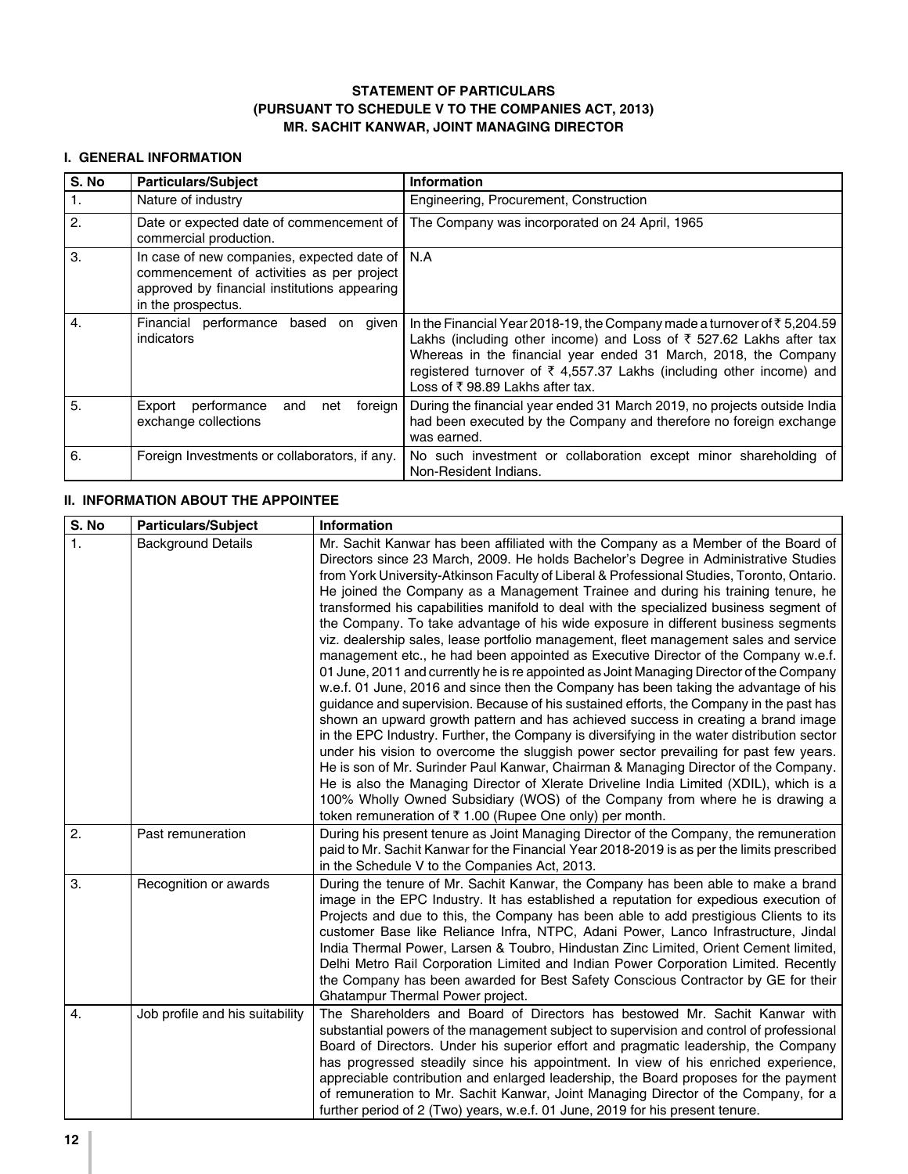### **STATEMENT OF PARTICULARS (PURSUANT TO SCHEDULE V TO THE COMPANIES ACT, 2013) MR. SACHIT KANWAR, JOINT MANAGING DIRECTOR**

# **I. GENERAL INFORMATION**

| S. No        | <b>Particulars/Subject</b>                                                                                                                                           | <b>Information</b>                                                                                                                                                                                                                                                                                                                                      |
|--------------|----------------------------------------------------------------------------------------------------------------------------------------------------------------------|---------------------------------------------------------------------------------------------------------------------------------------------------------------------------------------------------------------------------------------------------------------------------------------------------------------------------------------------------------|
| 1.           | Nature of industry                                                                                                                                                   | Engineering, Procurement, Construction                                                                                                                                                                                                                                                                                                                  |
| 2.           | Date or expected date of commencement of<br>commercial production.                                                                                                   | The Company was incorporated on 24 April, 1965                                                                                                                                                                                                                                                                                                          |
| 3.           | In case of new companies, expected date of   N.A.<br>commencement of activities as per project<br>approved by financial institutions appearing<br>in the prospectus. |                                                                                                                                                                                                                                                                                                                                                         |
| $\mathbf{A}$ | Financial performance based<br>qiven<br>on<br>indicators                                                                                                             | In the Financial Year 2018-19, the Company made a turnover of $\bar{\tau}$ 5,204.59<br>Lakhs (including other income) and Loss of ₹ 527.62 Lakhs after tax<br>Whereas in the financial year ended 31 March, 2018, the Company<br>registered turnover of $\overline{\xi}$ 4,557.37 Lakhs (including other income) and<br>Loss of ₹98.89 Lakhs after tax. |
| 5.           | Export<br>performance<br>and<br>foreign<br>net<br>exchange collections                                                                                               | During the financial year ended 31 March 2019, no projects outside India<br>had been executed by the Company and therefore no foreign exchange<br>was earned.                                                                                                                                                                                           |
| 6.           | Foreign Investments or collaborators, if any.                                                                                                                        | No such investment or collaboration except minor shareholding of<br>Non-Resident Indians.                                                                                                                                                                                                                                                               |

# **II. INFORMATION ABOUT THE APPOINTEE**

| S. No            | <b>Particulars/Subject</b>      | <b>Information</b>                                                                                                                                                                                                                                                                                                                                                                                                                                                                                                                                                                                                                                                                                                                                                                                                                                                                                                                                                                                                                                                                                                                                                                                                                                                                                                                                                                                                                                                                                                                                                                                                 |  |  |
|------------------|---------------------------------|--------------------------------------------------------------------------------------------------------------------------------------------------------------------------------------------------------------------------------------------------------------------------------------------------------------------------------------------------------------------------------------------------------------------------------------------------------------------------------------------------------------------------------------------------------------------------------------------------------------------------------------------------------------------------------------------------------------------------------------------------------------------------------------------------------------------------------------------------------------------------------------------------------------------------------------------------------------------------------------------------------------------------------------------------------------------------------------------------------------------------------------------------------------------------------------------------------------------------------------------------------------------------------------------------------------------------------------------------------------------------------------------------------------------------------------------------------------------------------------------------------------------------------------------------------------------------------------------------------------------|--|--|
| 1.               | <b>Background Details</b>       | Mr. Sachit Kanwar has been affiliated with the Company as a Member of the Board of<br>Directors since 23 March, 2009. He holds Bachelor's Degree in Administrative Studies<br>from York University-Atkinson Faculty of Liberal & Professional Studies, Toronto, Ontario.<br>He joined the Company as a Management Trainee and during his training tenure, he<br>transformed his capabilities manifold to deal with the specialized business segment of<br>the Company. To take advantage of his wide exposure in different business segments<br>viz. dealership sales, lease portfolio management, fleet management sales and service<br>management etc., he had been appointed as Executive Director of the Company w.e.f.<br>01 June, 2011 and currently he is re appointed as Joint Managing Director of the Company<br>w.e.f. 01 June, 2016 and since then the Company has been taking the advantage of his<br>guidance and supervision. Because of his sustained efforts, the Company in the past has<br>shown an upward growth pattern and has achieved success in creating a brand image<br>in the EPC Industry. Further, the Company is diversifying in the water distribution sector<br>under his vision to overcome the sluggish power sector prevailing for past few years.<br>He is son of Mr. Surinder Paul Kanwar, Chairman & Managing Director of the Company.<br>He is also the Managing Director of Xlerate Driveline India Limited (XDIL), which is a<br>100% Wholly Owned Subsidiary (WOS) of the Company from where he is drawing a<br>token remuneration of ₹1.00 (Rupee One only) per month. |  |  |
| 2.               | Past remuneration               | During his present tenure as Joint Managing Director of the Company, the remuneration<br>paid to Mr. Sachit Kanwar for the Financial Year 2018-2019 is as per the limits prescribed<br>in the Schedule V to the Companies Act, 2013.                                                                                                                                                                                                                                                                                                                                                                                                                                                                                                                                                                                                                                                                                                                                                                                                                                                                                                                                                                                                                                                                                                                                                                                                                                                                                                                                                                               |  |  |
| 3.               | Recognition or awards           | During the tenure of Mr. Sachit Kanwar, the Company has been able to make a brand<br>image in the EPC Industry. It has established a reputation for expedious execution of<br>Projects and due to this, the Company has been able to add prestigious Clients to its<br>customer Base like Reliance Infra, NTPC, Adani Power, Lanco Infrastructure, Jindal<br>India Thermal Power, Larsen & Toubro, Hindustan Zinc Limited, Orient Cement limited,<br>Delhi Metro Rail Corporation Limited and Indian Power Corporation Limited. Recently<br>the Company has been awarded for Best Safety Conscious Contractor by GE for their<br>Ghatampur Thermal Power project.                                                                                                                                                                                                                                                                                                                                                                                                                                                                                                                                                                                                                                                                                                                                                                                                                                                                                                                                                  |  |  |
| $\overline{4}$ . | Job profile and his suitability | The Shareholders and Board of Directors has bestowed Mr. Sachit Kanwar with<br>substantial powers of the management subject to supervision and control of professional<br>Board of Directors. Under his superior effort and pragmatic leadership, the Company<br>has progressed steadily since his appointment. In view of his enriched experience,<br>appreciable contribution and enlarged leadership, the Board proposes for the payment<br>of remuneration to Mr. Sachit Kanwar, Joint Managing Director of the Company, for a<br>further period of 2 (Two) years, w.e.f. 01 June, 2019 for his present tenure.                                                                                                                                                                                                                                                                                                                                                                                                                                                                                                                                                                                                                                                                                                                                                                                                                                                                                                                                                                                                |  |  |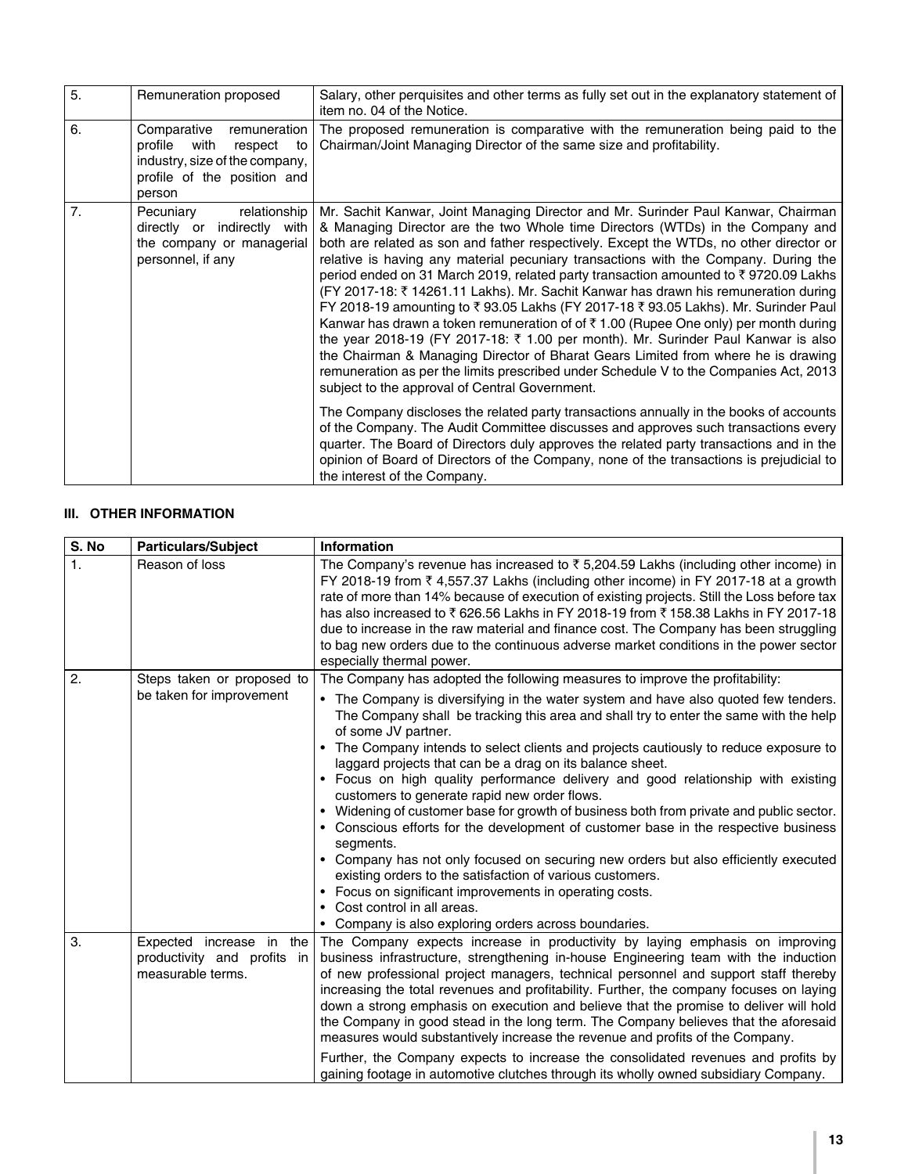| 5. | Remuneration proposed                                                                                                                      | Salary, other perquisites and other terms as fully set out in the explanatory statement of<br>item no. 04 of the Notice.                                                                                                                                                                                                                                                                                                                                                                                                                                                                                                                                                                                                                                                                                                                                                                                                                                                                                                                       |  |
|----|--------------------------------------------------------------------------------------------------------------------------------------------|------------------------------------------------------------------------------------------------------------------------------------------------------------------------------------------------------------------------------------------------------------------------------------------------------------------------------------------------------------------------------------------------------------------------------------------------------------------------------------------------------------------------------------------------------------------------------------------------------------------------------------------------------------------------------------------------------------------------------------------------------------------------------------------------------------------------------------------------------------------------------------------------------------------------------------------------------------------------------------------------------------------------------------------------|--|
| 6. | Comparative<br>remuneration<br>profile<br>with<br>respect<br>to<br>industry, size of the company,<br>profile of the position and<br>person | The proposed remuneration is comparative with the remuneration being paid to the<br>Chairman/Joint Managing Director of the same size and profitability.                                                                                                                                                                                                                                                                                                                                                                                                                                                                                                                                                                                                                                                                                                                                                                                                                                                                                       |  |
| 7. | relationship<br>Pecuniary<br>indirectly with<br>directly or<br>the company or managerial<br>personnel, if any                              | Mr. Sachit Kanwar, Joint Managing Director and Mr. Surinder Paul Kanwar, Chairman<br>& Managing Director are the two Whole time Directors (WTDs) in the Company and<br>both are related as son and father respectively. Except the WTDs, no other director or<br>relative is having any material pecuniary transactions with the Company. During the<br>period ended on 31 March 2019, related party transaction amounted to ₹9720.09 Lakhs<br>(FY 2017-18: ₹14261.11 Lakhs). Mr. Sachit Kanwar has drawn his remuneration during<br>FY 2018-19 amounting to ₹93.05 Lakhs (FY 2017-18 ₹93.05 Lakhs). Mr. Surinder Paul<br>Kanwar has drawn a token remuneration of of $\bar{\tau}$ 1.00 (Rupee One only) per month during<br>the year 2018-19 (FY 2017-18: ₹ 1.00 per month). Mr. Surinder Paul Kanwar is also<br>the Chairman & Managing Director of Bharat Gears Limited from where he is drawing<br>remuneration as per the limits prescribed under Schedule V to the Companies Act, 2013<br>subject to the approval of Central Government. |  |
|    |                                                                                                                                            | The Company discloses the related party transactions annually in the books of accounts<br>of the Company. The Audit Committee discusses and approves such transactions every<br>quarter. The Board of Directors duly approves the related party transactions and in the<br>opinion of Board of Directors of the Company, none of the transactions is prejudicial to<br>the interest of the Company.                                                                                                                                                                                                                                                                                                                                                                                                                                                                                                                                                                                                                                            |  |

# **III. OTHER INFORMATION**

| S. No          | <b>Particulars/Subject</b>                                                   | Information                                                                                                                                                                                                                                                                                                                                                                                                                                                                                                                                                                                                                                                                                                                                                                                                                                                                                                                                                                                        |  |  |
|----------------|------------------------------------------------------------------------------|----------------------------------------------------------------------------------------------------------------------------------------------------------------------------------------------------------------------------------------------------------------------------------------------------------------------------------------------------------------------------------------------------------------------------------------------------------------------------------------------------------------------------------------------------------------------------------------------------------------------------------------------------------------------------------------------------------------------------------------------------------------------------------------------------------------------------------------------------------------------------------------------------------------------------------------------------------------------------------------------------|--|--|
| $\mathbf{1}$ . | Reason of loss                                                               | The Company's revenue has increased to $\bar{\tau}$ 5,204.59 Lakhs (including other income) in<br>FY 2018-19 from $\overline{\tau}$ 4,557.37 Lakhs (including other income) in FY 2017-18 at a growth<br>rate of more than 14% because of execution of existing projects. Still the Loss before tax<br>has also increased to ₹626.56 Lakhs in FY 2018-19 from ₹158.38 Lakhs in FY 2017-18<br>due to increase in the raw material and finance cost. The Company has been struggling<br>to bag new orders due to the continuous adverse market conditions in the power sector<br>especially thermal power.                                                                                                                                                                                                                                                                                                                                                                                           |  |  |
| 2.             | Steps taken or proposed to                                                   | The Company has adopted the following measures to improve the profitability:                                                                                                                                                                                                                                                                                                                                                                                                                                                                                                                                                                                                                                                                                                                                                                                                                                                                                                                       |  |  |
|                | be taken for improvement                                                     | • The Company is diversifying in the water system and have also quoted few tenders.<br>The Company shall be tracking this area and shall try to enter the same with the help<br>of some JV partner.<br>The Company intends to select clients and projects cautiously to reduce exposure to<br>laggard projects that can be a drag on its balance sheet.<br>• Focus on high quality performance delivery and good relationship with existing<br>customers to generate rapid new order flows.<br>• Widening of customer base for growth of business both from private and public sector.<br>• Conscious efforts for the development of customer base in the respective business<br>segments.<br>• Company has not only focused on securing new orders but also efficiently executed<br>existing orders to the satisfaction of various customers.<br>• Focus on significant improvements in operating costs.<br>• Cost control in all areas.<br>• Company is also exploring orders across boundaries. |  |  |
| 3.             | Expected increase in the<br>productivity and profits in<br>measurable terms. | The Company expects increase in productivity by laying emphasis on improving<br>business infrastructure, strengthening in-house Engineering team with the induction<br>of new professional project managers, technical personnel and support staff thereby<br>increasing the total revenues and profitability. Further, the company focuses on laying                                                                                                                                                                                                                                                                                                                                                                                                                                                                                                                                                                                                                                              |  |  |
|                |                                                                              | down a strong emphasis on execution and believe that the promise to deliver will hold<br>the Company in good stead in the long term. The Company believes that the aforesaid<br>measures would substantively increase the revenue and profits of the Company.                                                                                                                                                                                                                                                                                                                                                                                                                                                                                                                                                                                                                                                                                                                                      |  |  |
|                |                                                                              | Further, the Company expects to increase the consolidated revenues and profits by<br>gaining footage in automotive clutches through its wholly owned subsidiary Company.                                                                                                                                                                                                                                                                                                                                                                                                                                                                                                                                                                                                                                                                                                                                                                                                                           |  |  |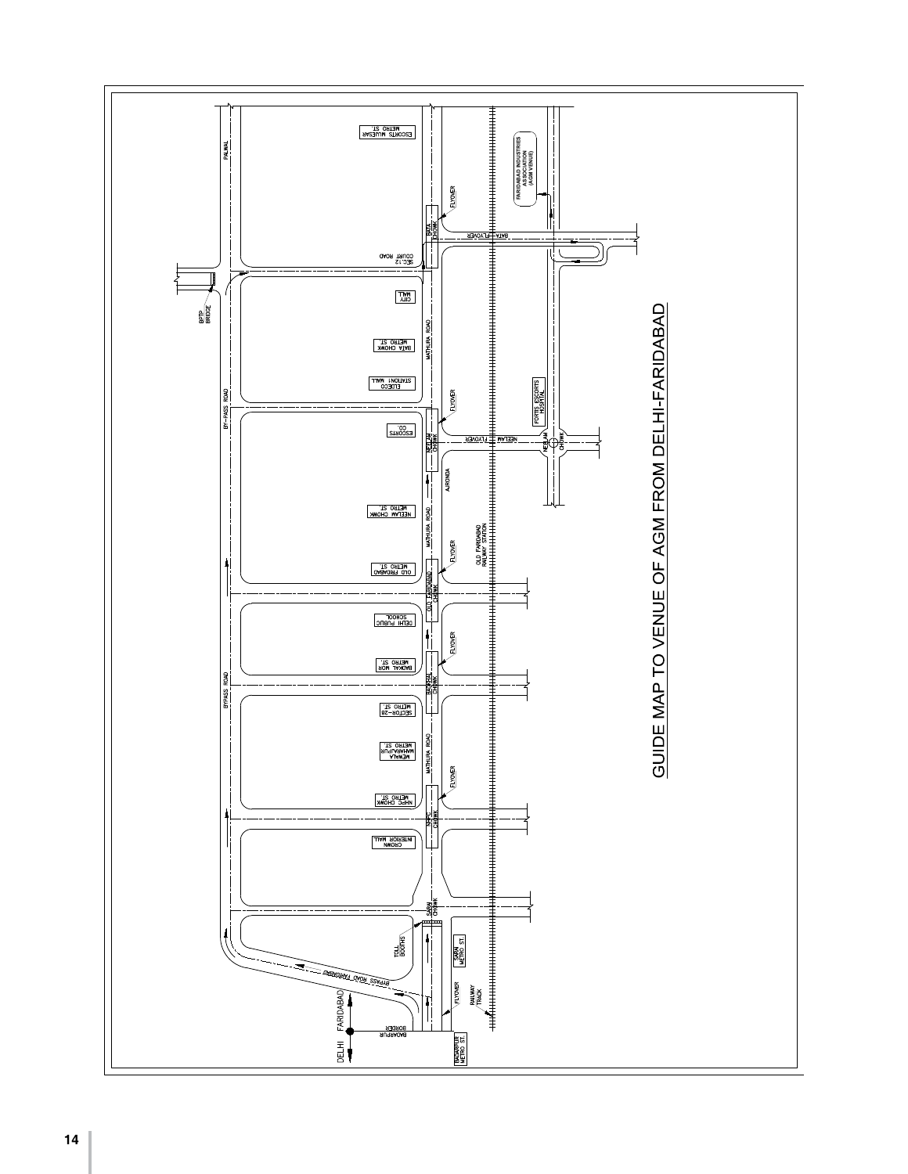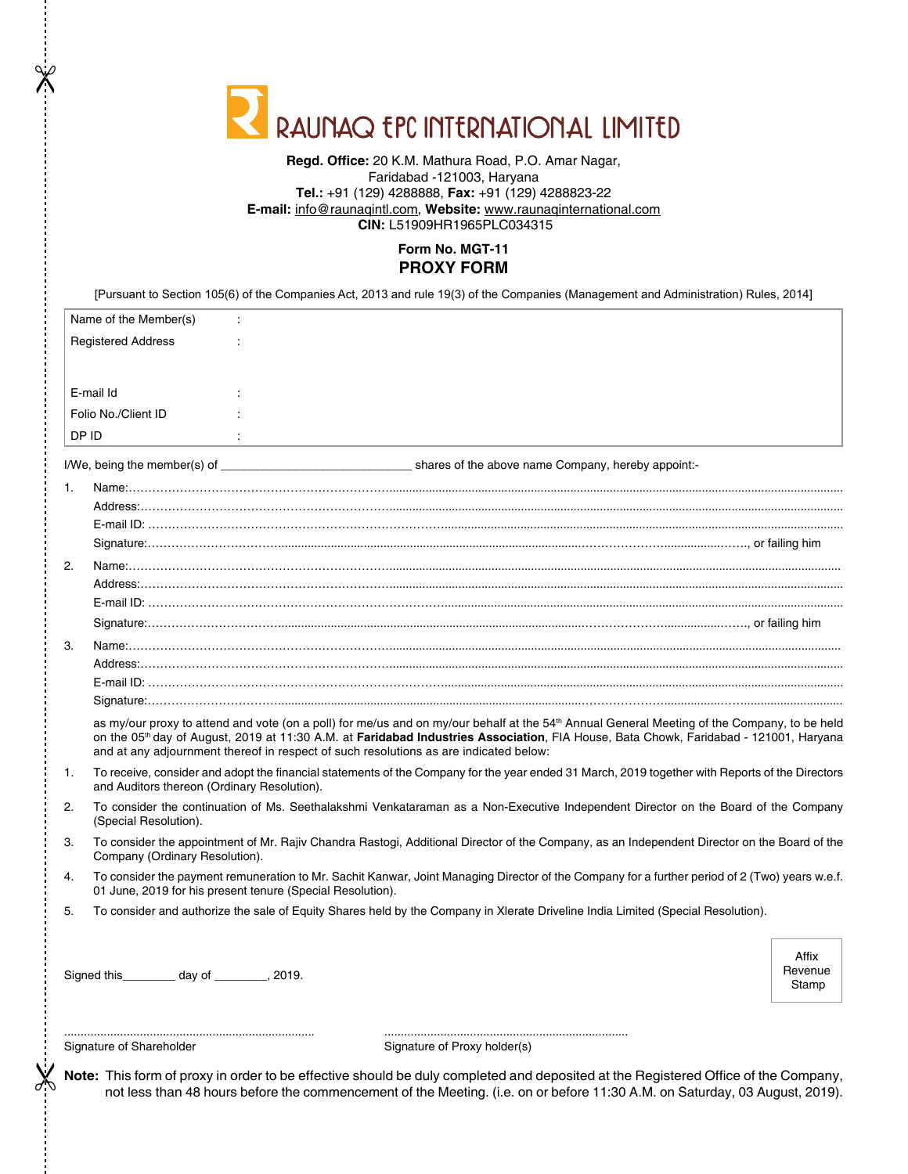| RAUNAQ EPC INTERNATIONAL LIMITED |  |  |  |  |  |  |
|----------------------------------|--|--|--|--|--|--|
|----------------------------------|--|--|--|--|--|--|

#### **Regd. Office:** 20 K.M. Mathura Road, P.O. Amar Nagar, Faridabad -121003, Haryana **Tel.:** +91 (129) 4288888, **Fax:** +91 (129) 4288823-22 **E-mail:** info@raunaqintl.com, **Website:** www.raunaqinternational.com **CIN:** L51909HR1965PLC034315

### **Form No. MGT-11 PROXY FORM**

[Pursuant to Section 105(6) of the Companies Act, 2013 and rule 19(3) of the Companies (Management and Administration) Rules, 2014]

| Name of the Member(s)     | $\ddot{\phantom{a}}$ |
|---------------------------|----------------------|
| <b>Registered Address</b> | $\sim$               |
|                           |                      |
| E-mail Id                 | $\cdot$              |
|                           | . .                  |
| Folio No./Client ID       |                      |
| DP ID                     |                      |

 $\mathbb{\mathbb{X}}$ 

I/We, being the member(s) of \_\_\_\_\_\_\_\_\_\_\_\_\_\_\_\_\_\_\_\_\_\_\_\_\_\_\_\_\_ shares of the above name Company, hereby appoint:-

| 1. |                                                                                                                                                                                                                                                                                                                                                                                                       |
|----|-------------------------------------------------------------------------------------------------------------------------------------------------------------------------------------------------------------------------------------------------------------------------------------------------------------------------------------------------------------------------------------------------------|
|    |                                                                                                                                                                                                                                                                                                                                                                                                       |
|    |                                                                                                                                                                                                                                                                                                                                                                                                       |
|    |                                                                                                                                                                                                                                                                                                                                                                                                       |
| 2. |                                                                                                                                                                                                                                                                                                                                                                                                       |
|    |                                                                                                                                                                                                                                                                                                                                                                                                       |
|    |                                                                                                                                                                                                                                                                                                                                                                                                       |
|    |                                                                                                                                                                                                                                                                                                                                                                                                       |
| 3. |                                                                                                                                                                                                                                                                                                                                                                                                       |
|    |                                                                                                                                                                                                                                                                                                                                                                                                       |
|    |                                                                                                                                                                                                                                                                                                                                                                                                       |
|    |                                                                                                                                                                                                                                                                                                                                                                                                       |
|    | as my/our proxy to attend and vote (on a poll) for me/us and on my/our behalf at the 54 <sup>th</sup> Annual General Meeting of the Company, to be held<br>on the 05 <sup>th</sup> day of August, 2019 at 11:30 A.M. at Faridabad Industries Association, FIA House, Bata Chowk, Faridabad - 121001, Haryana<br>and at any adjournment thereof in respect of such resolutions as are indicated below: |
| 1. | To receive, consider and adopt the financial statements of the Company for the year ended 31 March, 2019 together with Reports of the Directors<br>and Auditors thereon (Ordinary Resolution).                                                                                                                                                                                                        |
| 2. | To consider the continuation of Ms. Seethalakshmi Venkataraman as a Non-Executive Independent Director on the Board of the Company<br>(Special Resolution).                                                                                                                                                                                                                                           |
| 3. | To consider the appointment of Mr. Rajiv Chandra Rastogi, Additional Director of the Company, as an Independent Director on the Board of the<br>Company (Ordinary Resolution).                                                                                                                                                                                                                        |
| 4. | To consider the payment remuneration to Mr. Sachit Kanwar, Joint Managing Director of the Company for a further period of 2 (Two) years w.e.f.<br>01 June, 2019 for his present tenure (Special Resolution).                                                                                                                                                                                          |
| 5. | To consider and authorize the sale of Equity Shares held by the Company in Xlerate Driveline India Limited (Special Resolution).                                                                                                                                                                                                                                                                      |

Signed this\_\_\_\_\_\_\_\_ day of \_\_\_\_\_\_\_\_, 2019.

Affix Revenue Stamp

 $\chi$ 

Signature of Shareholder Signature of Proxy holder(s)

............................................................................ ..........................................................................

**Note:** This form of proxy in order to be effective should be duly completed and deposited at the Registered Office of the Company, not less than 48 hours before the commencement of the Meeting. (i.e. on or before 11:30 A.M. on Saturday, 03 August, 2019).